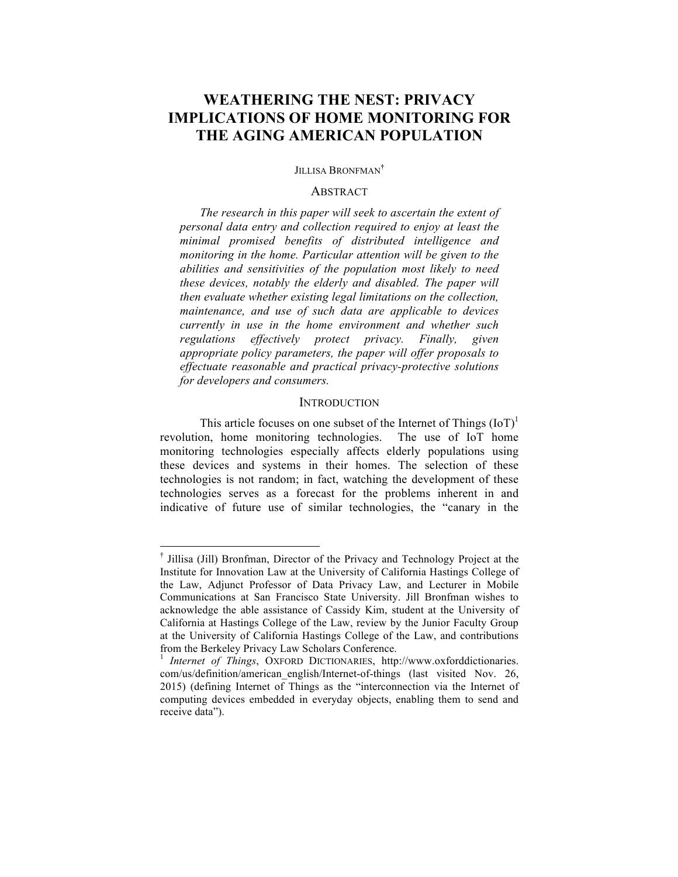# **WEATHERING THE NEST: PRIVACY IMPLICATIONS OF HOME MONITORING FOR THE AGING AMERICAN POPULATION**

## JILLISA BRONFMAN**†**

#### ABSTRACT

*The research in this paper will seek to ascertain the extent of personal data entry and collection required to enjoy at least the minimal promised benefits of distributed intelligence and monitoring in the home. Particular attention will be given to the abilities and sensitivities of the population most likely to need these devices, notably the elderly and disabled. The paper will then evaluate whether existing legal limitations on the collection, maintenance, and use of such data are applicable to devices currently in use in the home environment and whether such regulations effectively protect privacy. Finally, given appropriate policy parameters, the paper will offer proposals to effectuate reasonable and practical privacy-protective solutions for developers and consumers.*

#### **INTRODUCTION**

This article focuses on one subset of the Internet of Things  $(IoT)^{1}$ revolution, home monitoring technologies. The use of IoT home monitoring technologies especially affects elderly populations using these devices and systems in their homes. The selection of these technologies is not random; in fact, watching the development of these technologies serves as a forecast for the problems inherent in and indicative of future use of similar technologies, the "canary in the

† Jillisa (Jill) Bronfman, Director of the Privacy and Technology Project at the Institute for Innovation Law at the University of California Hastings College of the Law, Adjunct Professor of Data Privacy Law, and Lecturer in Mobile Communications at San Francisco State University. Jill Bronfman wishes to acknowledge the able assistance of Cassidy Kim, student at the University of California at Hastings College of the Law, review by the Junior Faculty Group at the University of California Hastings College of the Law, and contributions from the Berkeley Privacy Law Scholars Conference.

<sup>&</sup>lt;sup>1</sup> *Internet of Things*, OXFORD DICTIONARIES, http://www.oxforddictionaries. com/us/definition/american\_english/Internet-of-things (last visited Nov. 26, 2015) (defining Internet of Things as the "interconnection via the Internet of computing devices embedded in everyday objects, enabling them to send and receive data").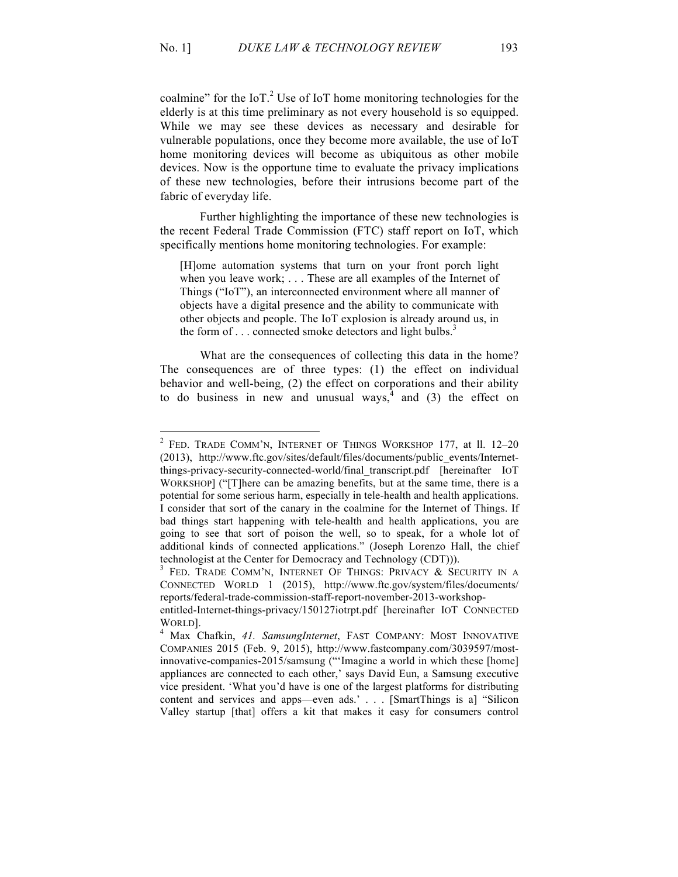coalmine" for the IoT.<sup>2</sup> Use of IoT home monitoring technologies for the elderly is at this time preliminary as not every household is so equipped. While we may see these devices as necessary and desirable for vulnerable populations, once they become more available, the use of IoT home monitoring devices will become as ubiquitous as other mobile devices. Now is the opportune time to evaluate the privacy implications of these new technologies, before their intrusions become part of the fabric of everyday life.

Further highlighting the importance of these new technologies is the recent Federal Trade Commission (FTC) staff report on IoT, which specifically mentions home monitoring technologies. For example:

[H]ome automation systems that turn on your front porch light when you leave work; . . . These are all examples of the Internet of Things ("IoT"), an interconnected environment where all manner of objects have a digital presence and the ability to communicate with other objects and people. The IoT explosion is already around us, in the form of  $\ldots$  connected smoke detectors and light bulbs.<sup>3</sup>

What are the consequences of collecting this data in the home? The consequences are of three types: (1) the effect on individual behavior and well-being, (2) the effect on corporations and their ability to do business in new and unusual ways,  $4$  and (3) the effect on

<sup>2</sup> FED. TRADE COMM'N, INTERNET OF THINGS WORKSHOP 177, at ll. 12–20 (2013), http://www.ftc.gov/sites/default/files/documents/public\_events/Internetthings-privacy-security-connected-world/final\_transcript.pdf [hereinafter IOT WORKSHOP] ("[T]here can be amazing benefits, but at the same time, there is a potential for some serious harm, especially in tele-health and health applications. I consider that sort of the canary in the coalmine for the Internet of Things. If bad things start happening with tele-health and health applications, you are going to see that sort of poison the well, so to speak, for a whole lot of additional kinds of connected applications." (Joseph Lorenzo Hall, the chief technologist at the Center for Democracy and Technology (CDT))).<br><sup>3</sup> FED. TRADE COMM'N, INTERNET OF THINGS: PRIVACY & SECURITY IN A

CONNECTED WORLD 1 (2015), http://www.ftc.gov/system/files/documents/ reports/federal-trade-commission-staff-report-november-2013-workshop-

entitled-Internet-things-privacy/150127iotrpt.pdf [hereinafter IOT CONNECTED

WORLD]. <sup>4</sup> Max Chafkin, *41. SamsungInternet*, FAST COMPANY: MOST INNOVATIVE COMPANIES 2015 (Feb. 9, 2015), http://www.fastcompany.com/3039597/mostinnovative-companies-2015/samsung ("'Imagine a world in which these [home] appliances are connected to each other,' says David Eun, a Samsung executive vice president. 'What you'd have is one of the largest platforms for distributing content and services and apps—even ads.' . . . [SmartThings is a] "Silicon Valley startup [that] offers a kit that makes it easy for consumers control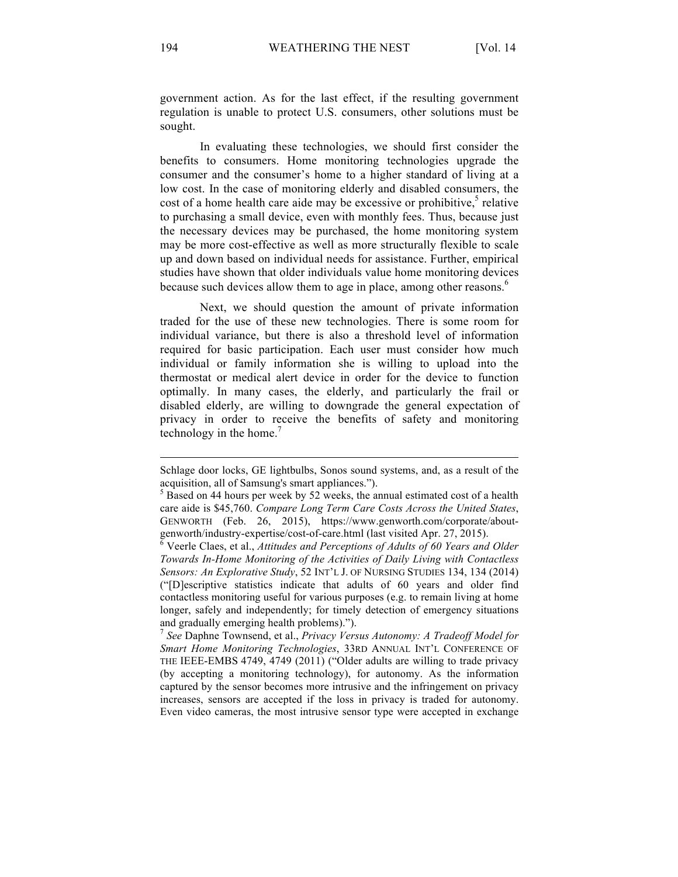government action. As for the last effect, if the resulting government regulation is unable to protect U.S. consumers, other solutions must be sought.

In evaluating these technologies, we should first consider the benefits to consumers. Home monitoring technologies upgrade the consumer and the consumer's home to a higher standard of living at a low cost. In the case of monitoring elderly and disabled consumers, the cost of a home health care aide may be excessive or prohibitive, $\frac{5}{3}$  relative to purchasing a small device, even with monthly fees. Thus, because just the necessary devices may be purchased, the home monitoring system may be more cost-effective as well as more structurally flexible to scale up and down based on individual needs for assistance. Further, empirical studies have shown that older individuals value home monitoring devices because such devices allow them to age in place, among other reasons. $<sup>6</sup>$ </sup>

Next, we should question the amount of private information traded for the use of these new technologies. There is some room for individual variance, but there is also a threshold level of information required for basic participation. Each user must consider how much individual or family information she is willing to upload into the thermostat or medical alert device in order for the device to function optimally. In many cases, the elderly, and particularly the frail or disabled elderly, are willing to downgrade the general expectation of privacy in order to receive the benefits of safety and monitoring technology in the home.<sup>7</sup>

<sup>7</sup> *See* Daphne Townsend, et al., *Privacy Versus Autonomy: A Tradeoff Model for Smart Home Monitoring Technologies*, 33RD ANNUAL INT'L CONFERENCE OF THE IEEE-EMBS 4749, 4749 (2011) ("Older adults are willing to trade privacy (by accepting a monitoring technology), for autonomy. As the information captured by the sensor becomes more intrusive and the infringement on privacy increases, sensors are accepted if the loss in privacy is traded for autonomy. Even video cameras, the most intrusive sensor type were accepted in exchange

Schlage door locks, GE lightbulbs, Sonos sound systems, and, as a result of the acquisition, all of Samsung's smart appliances.").  $\frac{5}{5}$  Based on 44 hours per week by 52 weeks, the annual estimated cost of a health

care aide is \$45,760. *Compare Long Term Care Costs Across the United States*, GENWORTH (Feb. 26, 2015), https://www.genworth.com/corporate/aboutgenworth/industry-expertise/cost-of-care.html (last visited Apr. 27, 2015). <sup>6</sup> Veerle Claes, et al., *Attitudes and Perceptions of Adults of 60 Years and Older* 

*Towards In-Home Monitoring of the Activities of Daily Living with Contactless Sensors: An Explorative Study*, 52 INT'L J. OF NURSING STUDIES 134, 134 (2014) ("[D]escriptive statistics indicate that adults of 60 years and older find contactless monitoring useful for various purposes (e.g. to remain living at home longer, safely and independently; for timely detection of emergency situations and gradually emerging health problems).").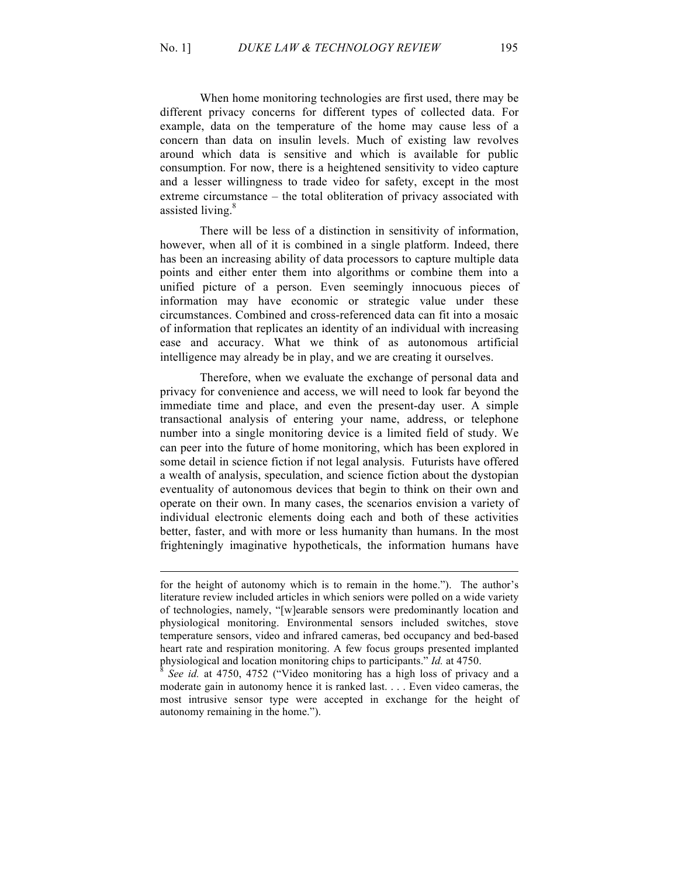When home monitoring technologies are first used, there may be different privacy concerns for different types of collected data. For example, data on the temperature of the home may cause less of a concern than data on insulin levels. Much of existing law revolves around which data is sensitive and which is available for public consumption. For now, there is a heightened sensitivity to video capture and a lesser willingness to trade video for safety, except in the most extreme circumstance – the total obliteration of privacy associated with assisted living.<sup>8</sup>

There will be less of a distinction in sensitivity of information, however, when all of it is combined in a single platform. Indeed, there has been an increasing ability of data processors to capture multiple data points and either enter them into algorithms or combine them into a unified picture of a person. Even seemingly innocuous pieces of information may have economic or strategic value under these circumstances. Combined and cross-referenced data can fit into a mosaic of information that replicates an identity of an individual with increasing ease and accuracy. What we think of as autonomous artificial intelligence may already be in play, and we are creating it ourselves.

Therefore, when we evaluate the exchange of personal data and privacy for convenience and access, we will need to look far beyond the immediate time and place, and even the present-day user. A simple transactional analysis of entering your name, address, or telephone number into a single monitoring device is a limited field of study. We can peer into the future of home monitoring, which has been explored in some detail in science fiction if not legal analysis. Futurists have offered a wealth of analysis, speculation, and science fiction about the dystopian eventuality of autonomous devices that begin to think on their own and operate on their own. In many cases, the scenarios envision a variety of individual electronic elements doing each and both of these activities better, faster, and with more or less humanity than humans. In the most frighteningly imaginative hypotheticals, the information humans have

for the height of autonomy which is to remain in the home."). The author's literature review included articles in which seniors were polled on a wide variety of technologies, namely, "[w]earable sensors were predominantly location and physiological monitoring. Environmental sensors included switches, stove temperature sensors, video and infrared cameras, bed occupancy and bed-based heart rate and respiration monitoring. A few focus groups presented implanted physiological and location monitoring chips to participants." *Id.* at 4750.<br><sup>8</sup> *See id.* at 4750, 4752 ("Video monitoring has a high loss of privacy and a

moderate gain in autonomy hence it is ranked last. . . . Even video cameras, the most intrusive sensor type were accepted in exchange for the height of autonomy remaining in the home.").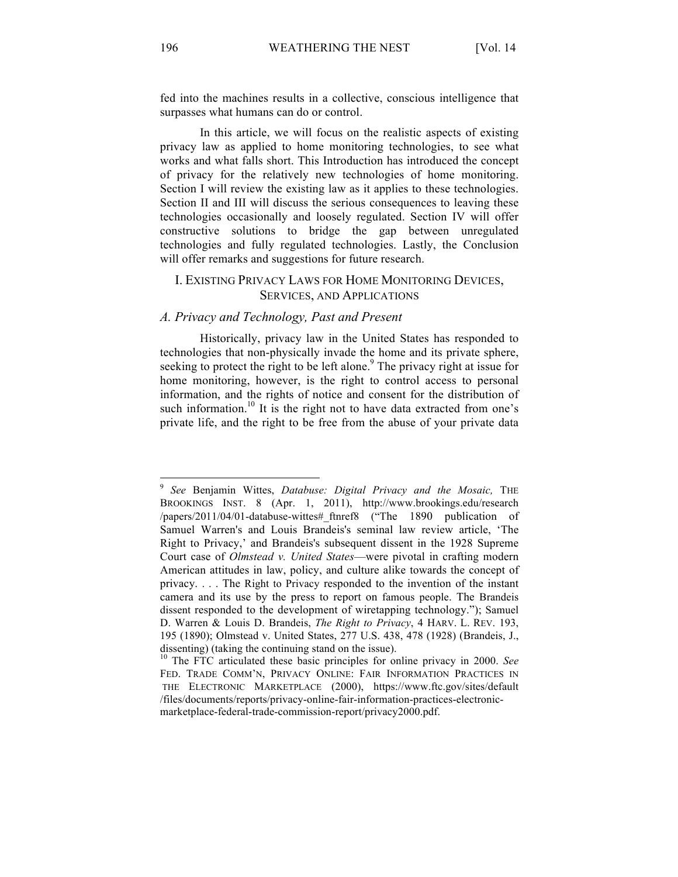fed into the machines results in a collective, conscious intelligence that surpasses what humans can do or control.

In this article, we will focus on the realistic aspects of existing privacy law as applied to home monitoring technologies, to see what works and what falls short. This Introduction has introduced the concept of privacy for the relatively new technologies of home monitoring. Section I will review the existing law as it applies to these technologies. Section II and III will discuss the serious consequences to leaving these technologies occasionally and loosely regulated. Section IV will offer constructive solutions to bridge the gap between unregulated technologies and fully regulated technologies. Lastly, the Conclusion will offer remarks and suggestions for future research.

# I. EXISTING PRIVACY LAWS FOR HOME MONITORING DEVICES, SERVICES, AND APPLICATIONS

# *A. Privacy and Technology, Past and Present*

Historically, privacy law in the United States has responded to technologies that non-physically invade the home and its private sphere, seeking to protect the right to be left alone.<sup>9</sup> The privacy right at issue for home monitoring, however, is the right to control access to personal information, and the rights of notice and consent for the distribution of such information.<sup>10</sup> It is the right not to have data extracted from one's private life, and the right to be free from the abuse of your private data

<sup>9</sup> *See* Benjamin Wittes, *Databuse: Digital Privacy and the Mosaic,* THE BROOKINGS INST. 8 (Apr. 1, 2011), http://www.brookings.edu/research /papers/2011/04/01-databuse-wittes#\_ftnref8 ("The 1890 publication of Samuel Warren's and Louis Brandeis's seminal law review article, 'The Right to Privacy,' and Brandeis's subsequent dissent in the 1928 Supreme Court case of *Olmstead v. United States*—were pivotal in crafting modern American attitudes in law, policy, and culture alike towards the concept of privacy. . . . The Right to Privacy responded to the invention of the instant camera and its use by the press to report on famous people. The Brandeis dissent responded to the development of wiretapping technology."); Samuel D. Warren & Louis D. Brandeis, *The Right to Privacy*, 4 HARV. L. REV. 193, 195 (1890); Olmstead v. United States, 277 U.S. 438, 478 (1928) (Brandeis, J.,

dissenting) (taking the continuing stand on the issue).<br><sup>10</sup> The FTC articulated these basic principles for online privacy in 2000. *See* FED. TRADE COMM'N, PRIVACY ONLINE: FAIR INFORMATION PRACTICES IN THE ELECTRONIC MARKETPLACE (2000), https://www.ftc.gov/sites/default /files/documents/reports/privacy-online-fair-information-practices-electronicmarketplace-federal-trade-commission-report/privacy2000.pdf.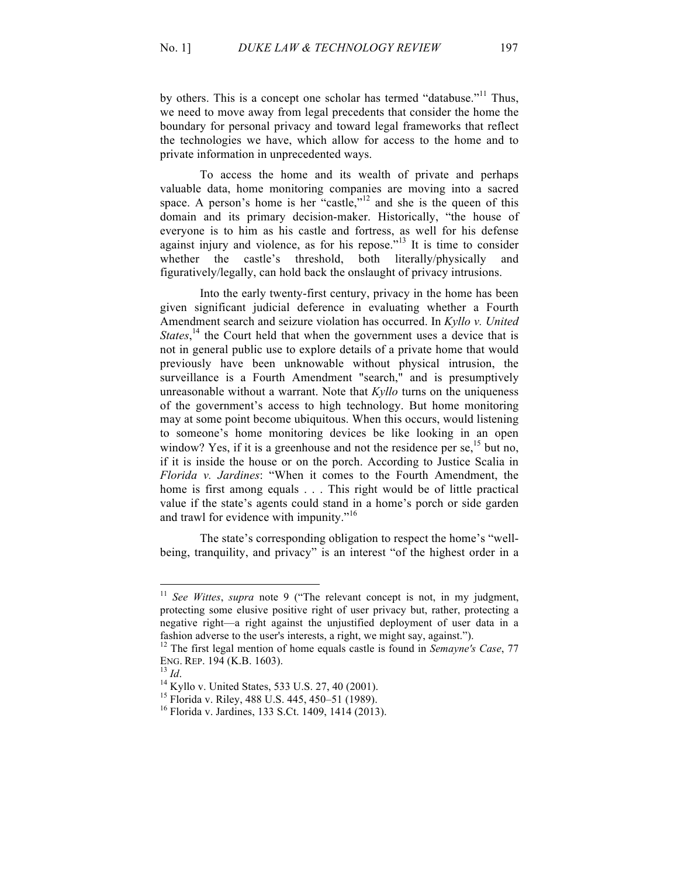by others. This is a concept one scholar has termed "databuse."<sup>11</sup> Thus, we need to move away from legal precedents that consider the home the boundary for personal privacy and toward legal frameworks that reflect the technologies we have, which allow for access to the home and to private information in unprecedented ways.

To access the home and its wealth of private and perhaps valuable data, home monitoring companies are moving into a sacred space. A person's home is her "castle,"<sup>12</sup> and she is the queen of this domain and its primary decision-maker. Historically, "the house of everyone is to him as his castle and fortress, as well for his defense against injury and violence, as for his repose.<sup> $13$ </sup> It is time to consider whether the castle's threshold, both literally/physically and figuratively/legally, can hold back the onslaught of privacy intrusions.

Into the early twenty-first century, privacy in the home has been given significant judicial deference in evaluating whether a Fourth Amendment search and seizure violation has occurred. In *Kyllo v. United States*,<sup>14</sup> the Court held that when the government uses a device that is not in general public use to explore details of a private home that would previously have been unknowable without physical intrusion, the surveillance is a Fourth Amendment "search," and is presumptively unreasonable without a warrant. Note that *Kyllo* turns on the uniqueness of the government's access to high technology. But home monitoring may at some point become ubiquitous. When this occurs, would listening to someone's home monitoring devices be like looking in an open window? Yes, if it is a greenhouse and not the residence per se,  $^{15}$  but no, if it is inside the house or on the porch. According to Justice Scalia in *Florida v. Jardines*: "When it comes to the Fourth Amendment, the home is first among equals . . . This right would be of little practical value if the state's agents could stand in a home's porch or side garden and trawl for evidence with impunity."<sup>16</sup>

The state's corresponding obligation to respect the home's "wellbeing, tranquility, and privacy" is an interest "of the highest order in a

<sup>&</sup>lt;sup>11</sup> *See Wittes, supra* note 9 ("The relevant concept is not, in my judgment, protecting some elusive positive right of user privacy but, rather, protecting a negative right—a right against the unjustified deployment of user data in a

fashion adverse to the user's interests, a right, we might say, against."). <sup>12</sup> The first legal mention of home equals castle is found in *Semayne's Case*, 77 ENG. REP. 194 (K.B. 1603).<br><sup>13</sup> *Id.* <sup>14</sup> Kyllo v. United States, 533 U.S. 27, 40 (2001).<br><sup>15</sup> Florida v. Riley, 488 U.S. 445, 450–51 (1989).<br><sup>16</sup> Florida v. Jardines, 133 S.Ct. 1409, 1414 (2013).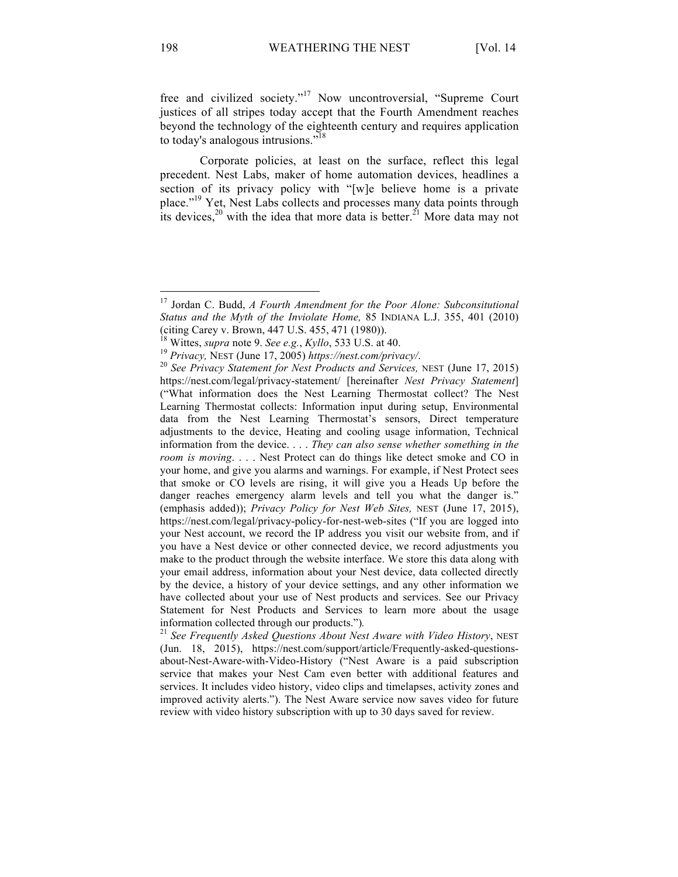free and civilized society."<sup>17</sup> Now uncontroversial, "Supreme Court justices of all stripes today accept that the Fourth Amendment reaches beyond the technology of the eighteenth century and requires application to today's analogous intrusions."<sup>18</sup>

Corporate policies, at least on the surface, reflect this legal precedent. Nest Labs, maker of home automation devices, headlines a section of its privacy policy with "[w]e believe home is a private place."19 Yet, Nest Labs collects and processes many data points through its devices,  $20$  with the idea that more data is better.<sup>21</sup> More data may not

<sup>17</sup> Jordan C. Budd, *A Fourth Amendment for the Poor Alone: Subconsitutional Status and the Myth of the Inviolate Home,* 85 INDIANA L.J. 355, 401 (2010) (citing Carey v. Brown, 447 U.S. 455, 471 (1980)).<br><sup>18</sup> Wittes, *supra* note 9. *See e.g., Kyllo, 533 U.S.* at 40.<br><sup>19</sup> Privacy, NEST (June 17, 2005) https://nest.com/privacy/.<br><sup>20</sup> *See Privacy Statement for Nest Product* 

https://nest.com/legal/privacy-statement/ [hereinafter *Nest Privacy Statement*] ("What information does the Nest Learning Thermostat collect? The Nest Learning Thermostat collects: Information input during setup, Environmental data from the Nest Learning Thermostat's sensors, Direct temperature adjustments to the device, Heating and cooling usage information, Technical information from the device. . . . *They can also sense whether something in the room is moving*. . . . Nest Protect can do things like detect smoke and CO in your home, and give you alarms and warnings. For example, if Nest Protect sees that smoke or CO levels are rising, it will give you a Heads Up before the danger reaches emergency alarm levels and tell you what the danger is." (emphasis added)); *Privacy Policy for Nest Web Sites,* NEST (June 17, 2015), https://nest.com/legal/privacy-policy-for-nest-web-sites ("If you are logged into your Nest account, we record the IP address you visit our website from, and if you have a Nest device or other connected device, we record adjustments you make to the product through the website interface. We store this data along with your email address, information about your Nest device, data collected directly by the device, a history of your device settings, and any other information we have collected about your use of Nest products and services. See our Privacy Statement for Nest Products and Services to learn more about the usage information collected through our products.")*.* <sup>21</sup> *See Frequently Asked Questions About Nest Aware with Video History*, NEST

<sup>(</sup>Jun. 18, 2015), https://nest.com/support/article/Frequently-asked-questionsabout-Nest-Aware-with-Video-History ("Nest Aware is a paid subscription service that makes your Nest Cam even better with additional features and services. It includes video history, video clips and timelapses, activity zones and improved activity alerts."). The Nest Aware service now saves video for future review with video history subscription with up to 30 days saved for review.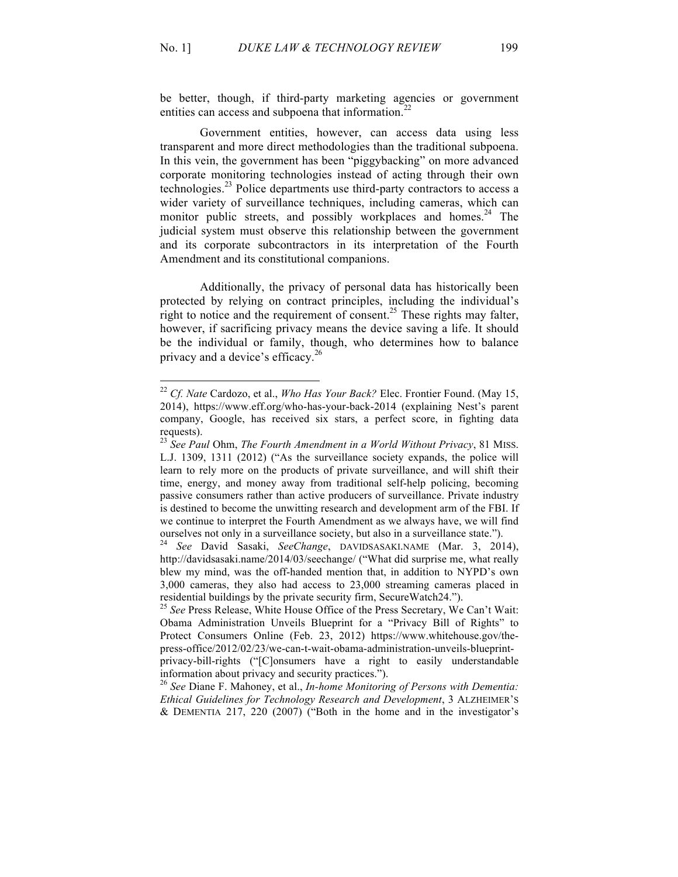be better, though, if third-party marketing agencies or government entities can access and subpoena that information.<sup>22</sup>

Government entities, however, can access data using less transparent and more direct methodologies than the traditional subpoena. In this vein, the government has been "piggybacking" on more advanced corporate monitoring technologies instead of acting through their own technologies. $^{23}$  Police departments use third-party contractors to access a wider variety of surveillance techniques, including cameras, which can monitor public streets, and possibly workplaces and homes.<sup>24</sup> The judicial system must observe this relationship between the government and its corporate subcontractors in its interpretation of the Fourth Amendment and its constitutional companions.

Additionally, the privacy of personal data has historically been protected by relying on contract principles, including the individual's right to notice and the requirement of consent.<sup>25</sup> These rights may falter, however, if sacrificing privacy means the device saving a life. It should be the individual or family, though, who determines how to balance privacy and a device's efficacy.<sup>26</sup>

<sup>22</sup> *Cf. Nate* Cardozo, et al., *Who Has Your Back?* Elec. Frontier Found. (May 15, 2014), https://www.eff.org/who-has-your-back-2014 (explaining Nest's parent company, Google, has received six stars, a perfect score, in fighting data requests).

<sup>23</sup> *See Paul* Ohm, *The Fourth Amendment in a World Without Privacy*, 81 MISS. L.J. 1309, 1311 (2012) ("As the surveillance society expands, the police will learn to rely more on the products of private surveillance, and will shift their time, energy, and money away from traditional self-help policing, becoming passive consumers rather than active producers of surveillance. Private industry is destined to become the unwitting research and development arm of the FBI. If we continue to interpret the Fourth Amendment as we always have, we will find

ourselves not only in a surveillance society, but also in a surveillance state."). 24 *See* David Sasaki, *SeeChange*, DAVIDSASAKI.NAME (Mar. 3, 2014), http://davidsasaki.name/2014/03/seechange/ ("What did surprise me, what really blew my mind, was the off-handed mention that, in addition to NYPD's own 3,000 cameras, they also had access to 23,000 streaming cameras placed in residential buildings by the private security firm, SecureWatch24.").

<sup>&</sup>lt;sup>25</sup> See Press Release, White House Office of the Press Secretary, We Can't Wait: Obama Administration Unveils Blueprint for a "Privacy Bill of Rights" to Protect Consumers Online (Feb. 23, 2012) https://www.whitehouse.gov/thepress-office/2012/02/23/we-can-t-wait-obama-administration-unveils-blueprintprivacy-bill-rights ("[C]onsumers have a right to easily understandable information about privacy and security practices."). <sup>26</sup> *See* Diane F. Mahoney, et al., *In-home Monitoring of Persons with Dementia:* 

*Ethical Guidelines for Technology Research and Development*, 3 ALZHEIMER'S & DEMENTIA 217, 220 (2007) ("Both in the home and in the investigator's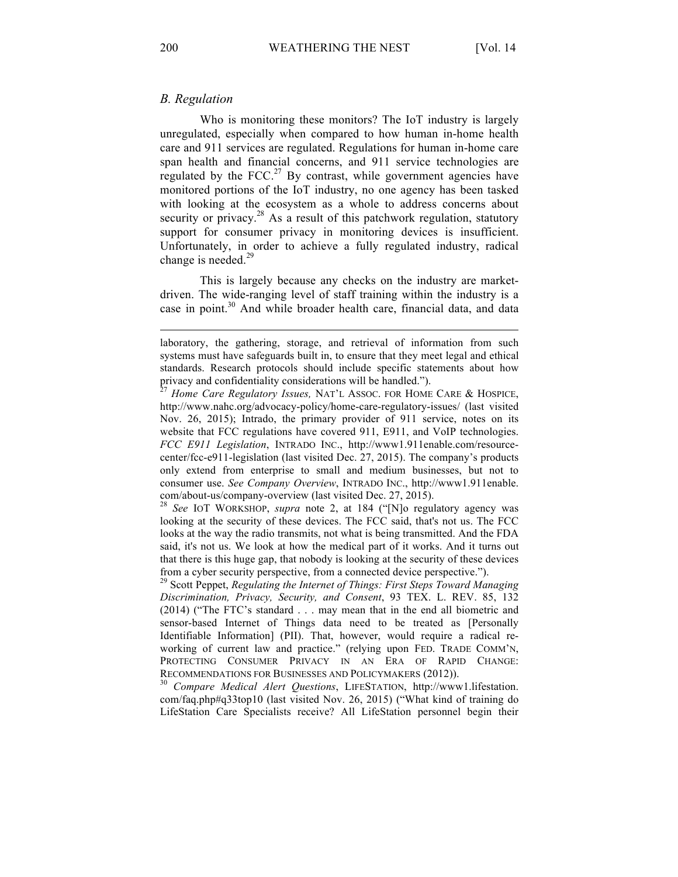## *B. Regulation*

Who is monitoring these monitors? The IoT industry is largely unregulated, especially when compared to how human in-home health care and 911 services are regulated. Regulations for human in-home care span health and financial concerns, and 911 service technologies are regulated by the FCC.<sup>27</sup> By contrast, while government agencies have monitored portions of the IoT industry, no one agency has been tasked with looking at the ecosystem as a whole to address concerns about security or privacy.<sup>28</sup> As a result of this patchwork regulation, statutory support for consumer privacy in monitoring devices is insufficient. Unfortunately, in order to achieve a fully regulated industry, radical change is needed. $^{29}$ 

This is largely because any checks on the industry are marketdriven. The wide-ranging level of staff training within the industry is a case in point.<sup>30</sup> And while broader health care, financial data, and data

looking at the security of these devices. The FCC said, that's not us. The FCC looks at the way the radio transmits, not what is being transmitted. And the FDA said, it's not us. We look at how the medical part of it works. And it turns out that there is this huge gap, that nobody is looking at the security of these devices from a cyber security perspective, from a connected device perspective.").

<sup>29</sup> Scott Peppet, *Regulating the Internet of Things: First Steps Toward Managing Discrimination, Privacy, Security, and Consent*, 93 TEX. L. REV. 85, 132 (2014) ("The FTC's standard . . . may mean that in the end all biometric and sensor-based Internet of Things data need to be treated as [Personally Identifiable Information] (PII). That, however, would require a radical reworking of current law and practice." (relying upon FED. TRADE COMM'N, PROTECTING CONSUMER PRIVACY IN AN ERA OF RAPID CHANGE: RECOMMENDATIONS FOR BUSINESSES AND POLICYMAKERS (2012)). <sup>30</sup> *Compare Medical Alert Questions*, LIFESTATION, http://www1.lifestation.

com/faq.php#q33top10 (last visited Nov. 26, 2015) ("What kind of training do LifeStation Care Specialists receive? All LifeStation personnel begin their

laboratory, the gathering, storage, and retrieval of information from such systems must have safeguards built in, to ensure that they meet legal and ethical standards. Research protocols should include specific statements about how privacy and confidentiality considerations will be handled.").<br><sup>27</sup> *Home Care Regulatory Issues*, NAT'L ASSOC. FOR HOME CARE & HOSPICE,

http://www.nahc.org/advocacy-policy/home-care-regulatory-issues/ (last visited Nov. 26, 2015); Intrado, the primary provider of 911 service, notes on its website that FCC regulations have covered 911, E911, and VoIP technologies. *FCC E911 Legislation*, INTRADO INC., http://www1.911enable.com/resourcecenter/fcc-e911-legislation (last visited Dec. 27, 2015). The company's products only extend from enterprise to small and medium businesses, but not to consumer use. *See Company Overview*, INTRADO INC., http://www1.911enable. com/about-us/company-overview (last visited Dec. 27, 2015). <sup>28</sup> *See* IOT WORKSHOP, *supra* note 2, at 184 ("[N]o regulatory agency was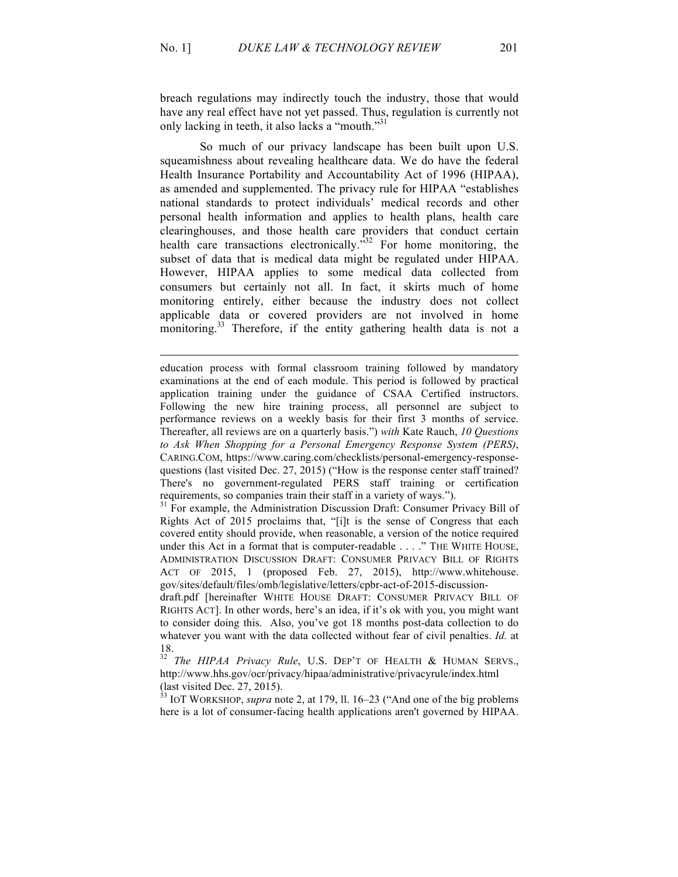breach regulations may indirectly touch the industry, those that would have any real effect have not yet passed. Thus, regulation is currently not only lacking in teeth, it also lacks a "mouth."<sup>31</sup>

So much of our privacy landscape has been built upon U.S. squeamishness about revealing healthcare data. We do have the federal Health Insurance Portability and Accountability Act of 1996 (HIPAA), as amended and supplemented. The privacy rule for HIPAA "establishes national standards to protect individuals' medical records and other personal health information and applies to health plans, health care clearinghouses, and those health care providers that conduct certain health care transactions electronically.<sup> $32$ </sup> For home monitoring, the subset of data that is medical data might be regulated under HIPAA. However, HIPAA applies to some medical data collected from consumers but certainly not all. In fact, it skirts much of home monitoring entirely, either because the industry does not collect applicable data or covered providers are not involved in home monitoring.<sup>33</sup> Therefore, if the entity gathering health data is not a

education process with formal classroom training followed by mandatory examinations at the end of each module. This period is followed by practical application training under the guidance of CSAA Certified instructors. Following the new hire training process, all personnel are subject to performance reviews on a weekly basis for their first 3 months of service. Thereafter, all reviews are on a quarterly basis.") *with* Kate Rauch, *10 Questions to Ask When Shopping for a Personal Emergency Response System (PERS)*, CARING.COM, https://www.caring.com/checklists/personal-emergency-responsequestions (last visited Dec. 27, 2015) ("How is the response center staff trained? There's no government-regulated PERS staff training or certification requirements, so companies train their staff in a variety of ways.").

<sup>31</sup> For example, the Administration Discussion Draft: Consumer Privacy Bill of Rights Act of 2015 proclaims that, "[i]t is the sense of Congress that each covered entity should provide, when reasonable, a version of the notice required under this Act in a format that is computer-readable . . . ." THE WHITE HOUSE, ADMINISTRATION DISCUSSION DRAFT: CONSUMER PRIVACY BILL OF RIGHTS ACT OF 2015, 1 (proposed Feb. 27, 2015), http://www.whitehouse. gov/sites/default/files/omb/legislative/letters/cpbr-act-of-2015-discussion-

draft.pdf [hereinafter WHITE HOUSE DRAFT: CONSUMER PRIVACY BILL OF RIGHTS ACT]. In other words, here's an idea, if it's ok with you, you might want to consider doing this. Also, you've got 18 months post-data collection to do whatever you want with the data collected without fear of civil penalties. *Id.* at 18.

<sup>32</sup> *The HIPAA Privacy Rule*, U.S. DEP'T OF HEALTH & HUMAN SERVS., http://www.hhs.gov/ocr/privacy/hipaa/administrative/privacyrule/index.html (last visited Dec. 27, 2015).

<sup>33</sup> IOT WORKSHOP, *supra* note 2, at 179, ll. 16–23 ("And one of the big problems here is a lot of consumer-facing health applications aren't governed by HIPAA.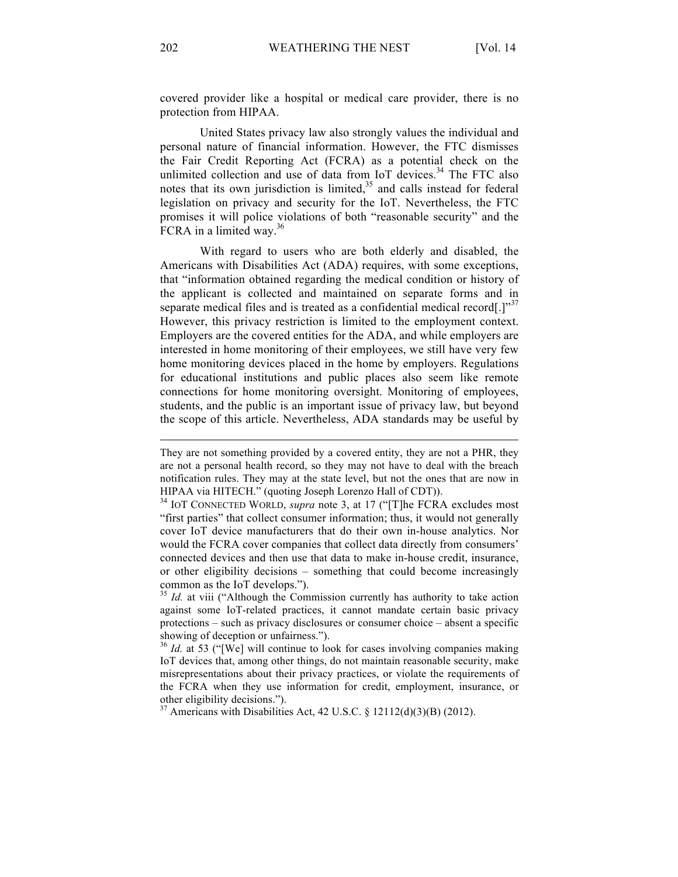covered provider like a hospital or medical care provider, there is no protection from HIPAA.

United States privacy law also strongly values the individual and personal nature of financial information. However, the FTC dismisses the Fair Credit Reporting Act (FCRA) as a potential check on the unlimited collection and use of data from IoT devices.<sup>34</sup> The FTC also notes that its own jurisdiction is limited, $35$  and calls instead for federal legislation on privacy and security for the IoT. Nevertheless, the FTC promises it will police violations of both "reasonable security" and the FCRA in a limited way. $36$ 

With regard to users who are both elderly and disabled, the Americans with Disabilities Act (ADA) requires, with some exceptions, that "information obtained regarding the medical condition or history of the applicant is collected and maintained on separate forms and in separate medical files and is treated as a confidential medical record[.] $^{\prime\prime}$ However, this privacy restriction is limited to the employment context. Employers are the covered entities for the ADA, and while employers are interested in home monitoring of their employees, we still have very few home monitoring devices placed in the home by employers. Regulations for educational institutions and public places also seem like remote connections for home monitoring oversight. Monitoring of employees, students, and the public is an important issue of privacy law, but beyond the scope of this article. Nevertheless, ADA standards may be useful by

They are not something provided by a covered entity, they are not a PHR, they are not a personal health record, so they may not have to deal with the breach notification rules. They may at the state level, but not the ones that are now in HIPAA via HITECH." (quoting Joseph Lorenzo Hall of CDT)).

<sup>34</sup> IOT CONNECTED WORLD, *supra* note 3, at 17 ("[T]he FCRA excludes most "first parties" that collect consumer information; thus, it would not generally cover IoT device manufacturers that do their own in-house analytics. Nor would the FCRA cover companies that collect data directly from consumers' connected devices and then use that data to make in-house credit, insurance, or other eligibility decisions – something that could become increasingly common as the IoT develops."). <sup>35</sup> *Id.* at viii ("Although the Commission currently has authority to take action

against some IoT-related practices, it cannot mandate certain basic privacy protections – such as privacy disclosures or consumer choice – absent a specific showing of deception or unfairness.").

<sup>&</sup>lt;sup>36</sup> *Id.* at 53 ("[We] will continue to look for cases involving companies making IoT devices that, among other things, do not maintain reasonable security, make misrepresentations about their privacy practices, or violate the requirements of the FCRA when they use information for credit, employment, insurance, or other eligibility decisions.").

<sup>&</sup>lt;sup>37</sup> Americans with Disabilities Act, 42 U.S.C. § 12112(d)(3)(B) (2012).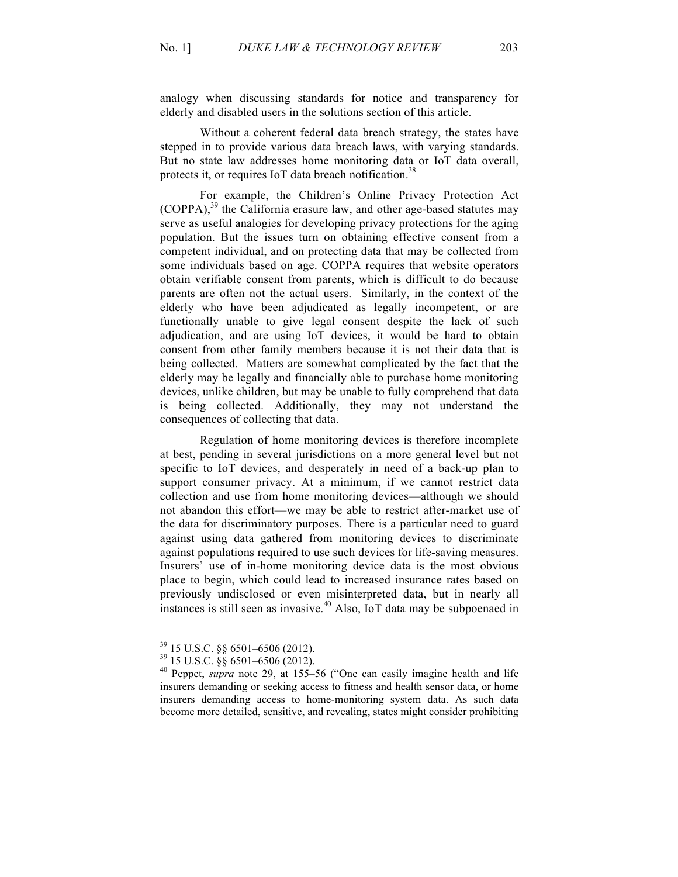analogy when discussing standards for notice and transparency for elderly and disabled users in the solutions section of this article.

Without a coherent federal data breach strategy, the states have stepped in to provide various data breach laws, with varying standards. But no state law addresses home monitoring data or IoT data overall, protects it, or requires IoT data breach notification.<sup>38</sup>

For example, the Children's Online Privacy Protection Act (COPPA),<sup>39</sup> the California erasure law, and other age-based statutes may serve as useful analogies for developing privacy protections for the aging population. But the issues turn on obtaining effective consent from a competent individual, and on protecting data that may be collected from some individuals based on age. COPPA requires that website operators obtain verifiable consent from parents, which is difficult to do because parents are often not the actual users. Similarly, in the context of the elderly who have been adjudicated as legally incompetent, or are functionally unable to give legal consent despite the lack of such adjudication, and are using IoT devices, it would be hard to obtain consent from other family members because it is not their data that is being collected. Matters are somewhat complicated by the fact that the elderly may be legally and financially able to purchase home monitoring devices, unlike children, but may be unable to fully comprehend that data is being collected. Additionally, they may not understand the consequences of collecting that data.

Regulation of home monitoring devices is therefore incomplete at best, pending in several jurisdictions on a more general level but not specific to IoT devices, and desperately in need of a back-up plan to support consumer privacy. At a minimum, if we cannot restrict data collection and use from home monitoring devices—although we should not abandon this effort—we may be able to restrict after-market use of the data for discriminatory purposes. There is a particular need to guard against using data gathered from monitoring devices to discriminate against populations required to use such devices for life-saving measures. Insurers' use of in-home monitoring device data is the most obvious place to begin, which could lead to increased insurance rates based on previously undisclosed or even misinterpreted data, but in nearly all instances is still seen as invasive.<sup>40</sup> Also, IoT data may be subpoenaed in

<sup>39</sup> 15 U.S.C. §§ 6501–6506 (2012). <sup>39</sup> 15 U.S.C. §§ 6501–6506 (2012). <sup>40</sup> Peppet, *supra* note 29, at 155–56 ("One can easily imagine health and life insurers demanding or seeking access to fitness and health sensor data, or home insurers demanding access to home-monitoring system data. As such data become more detailed, sensitive, and revealing, states might consider prohibiting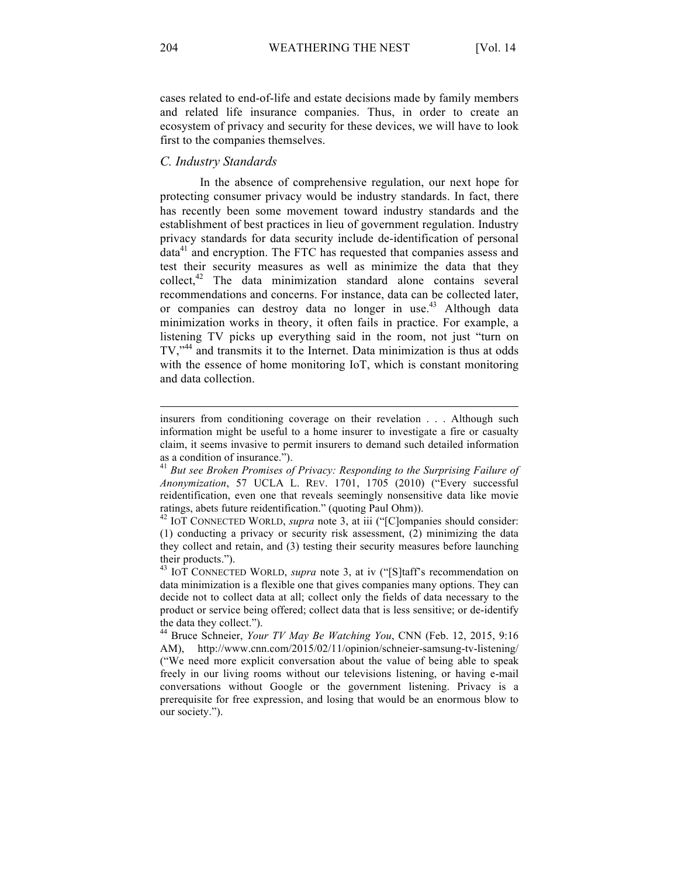cases related to end-of-life and estate decisions made by family members and related life insurance companies. Thus, in order to create an ecosystem of privacy and security for these devices, we will have to look first to the companies themselves.

## *C. Industry Standards*

In the absence of comprehensive regulation, our next hope for protecting consumer privacy would be industry standards. In fact, there has recently been some movement toward industry standards and the establishment of best practices in lieu of government regulation. Industry privacy standards for data security include de-identification of personal  $data<sup>41</sup>$  and encryption. The FTC has requested that companies assess and test their security measures as well as minimize the data that they collect,<sup>42</sup> The data minimization standard alone contains several recommendations and concerns. For instance, data can be collected later, or companies can destroy data no longer in use.<sup>43</sup> Although data minimization works in theory, it often fails in practice. For example, a listening TV picks up everything said in the room, not just "turn on TV,"<sup>44</sup> and transmits it to the Internet. Data minimization is thus at odds with the essence of home monitoring IoT, which is constant monitoring and data collection.

insurers from conditioning coverage on their revelation . . . Although such information might be useful to a home insurer to investigate a fire or casualty claim, it seems invasive to permit insurers to demand such detailed information as a condition of insurance.").

<sup>41</sup> *But see Broken Promises of Privacy: Responding to the Surprising Failure of Anonymization*, 57 UCLA L. REV. 1701, 1705 (2010) ("Every successful reidentification, even one that reveals seemingly nonsensitive data like movie ratings, abets future reidentification." (quoting Paul Ohm)).

<sup>42</sup> IOT CONNECTED WORLD, *supra* note 3, at iii ("[C]ompanies should consider: (1) conducting a privacy or security risk assessment, (2) minimizing the data they collect and retain, and (3) testing their security measures before launching their products.").

<sup>43</sup> IOT CONNECTED WORLD, *supra* note 3, at iv ("[S]taff's recommendation on data minimization is a flexible one that gives companies many options. They can decide not to collect data at all; collect only the fields of data necessary to the product or service being offered; collect data that is less sensitive; or de-identify the data they collect."). <sup>44</sup> Bruce Schneier, *Your TV May Be Watching You*, CNN (Feb. 12, 2015, 9:16

AM), http://www.cnn.com/2015/02/11/opinion/schneier-samsung-tv-listening/ ("We need more explicit conversation about the value of being able to speak freely in our living rooms without our televisions listening, or having e-mail conversations without Google or the government listening. Privacy is a prerequisite for free expression, and losing that would be an enormous blow to our society.").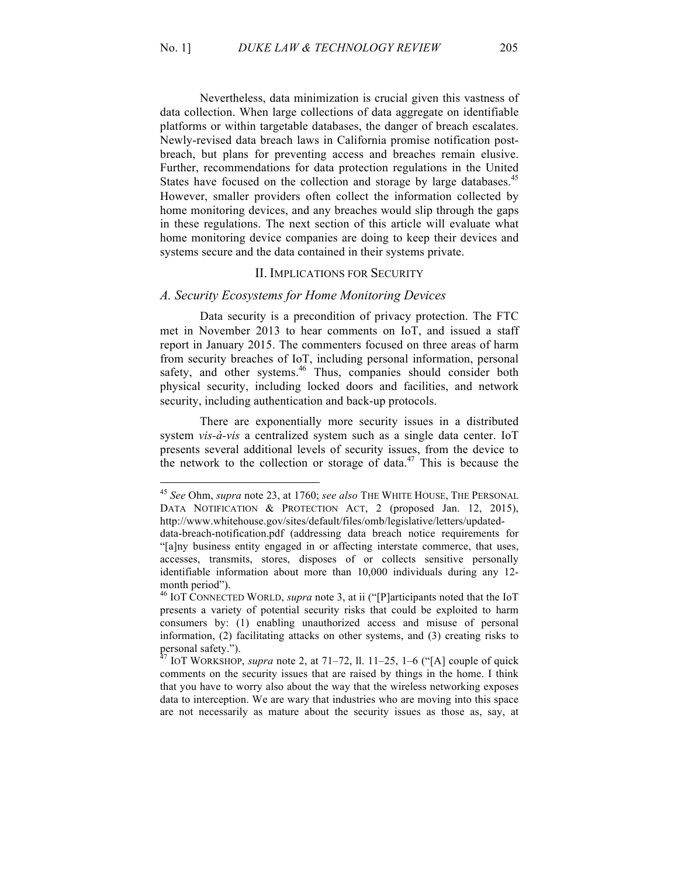Nevertheless, data minimization is crucial given this vastness of data collection. When large collections of data aggregate on identifiable platforms or within targetable databases, the danger of breach escalates. Newly-revised data breach laws in California promise notification postbreach, but plans for preventing access and breaches remain elusive. Further, recommendations for data protection regulations in the United States have focused on the collection and storage by large databases.<sup>45</sup> However, smaller providers often collect the information collected by home monitoring devices, and any breaches would slip through the gaps in these regulations. The next section of this article will evaluate what home monitoring device companies are doing to keep their devices and systems secure and the data contained in their systems private.

#### II. IMPLICATIONS FOR SECURITY

### *A. Security Ecosystems for Home Monitoring Devices*

Data security is a precondition of privacy protection. The FTC met in November 2013 to hear comments on IoT, and issued a staff report in January 2015. The commenters focused on three areas of harm from security breaches of IoT, including personal information, personal safety, and other systems.<sup>46</sup> Thus, companies should consider both physical security, including locked doors and facilities, and network security, including authentication and back-up protocols.

There are exponentially more security issues in a distributed system *vis-à-vis* a centralized system such as a single data center. IoT presents several additional levels of security issues, from the device to the network to the collection or storage of data.<sup>47</sup> This is because the

<sup>45</sup> *See* Ohm, *supra* note 23, at 1760; *see also* THE WHITE HOUSE, THE PERSONAL DATA NOTIFICATION & PROTECTION ACT, 2 (proposed Jan. 12, 2015), http://www.whitehouse.gov/sites/default/files/omb/legislative/letters/updated-

data-breach-notification.pdf (addressing data breach notice requirements for "[a]ny business entity engaged in or affecting interstate commerce, that uses, accesses, transmits, stores, disposes of or collects sensitive personally identifiable information about more than 10,000 individuals during any 12 month period").

<sup>46</sup> IOT CONNECTED WORLD, *supra* note 3, at ii ("[P]articipants noted that the IoT presents a variety of potential security risks that could be exploited to harm consumers by: (1) enabling unauthorized access and misuse of personal information, (2) facilitating attacks on other systems, and (3) creating risks to personal safety.").

 $^{47}$  IOT WORKSHOP, *supra* note 2, at 71–72, ll. 11–25, 1–6 ("[A] couple of quick comments on the security issues that are raised by things in the home. I think that you have to worry also about the way that the wireless networking exposes data to interception. We are wary that industries who are moving into this space are not necessarily as mature about the security issues as those as, say, at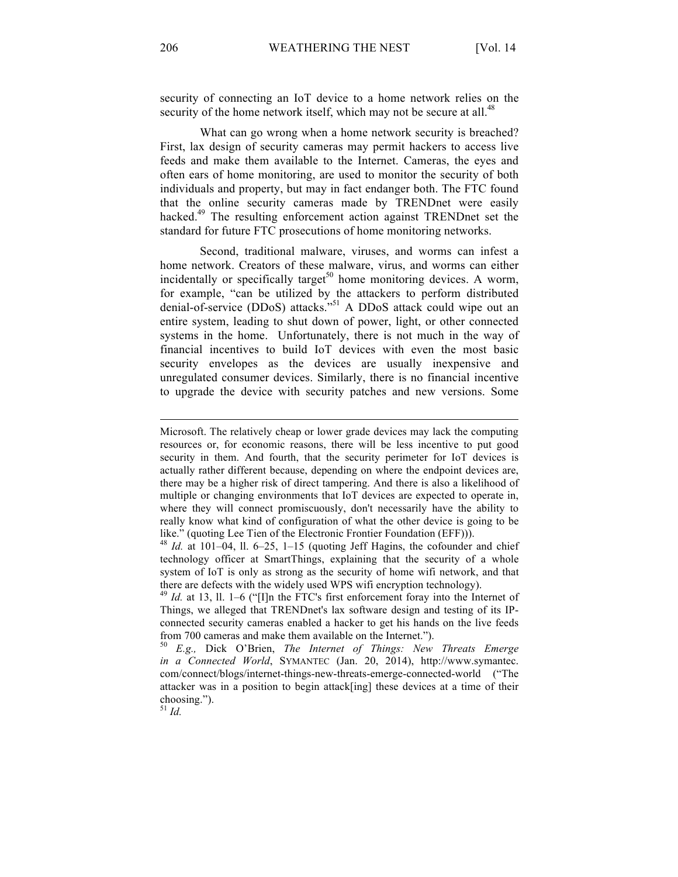security of connecting an IoT device to a home network relies on the security of the home network itself, which may not be secure at all.<sup>48</sup>

What can go wrong when a home network security is breached? First, lax design of security cameras may permit hackers to access live feeds and make them available to the Internet. Cameras, the eyes and often ears of home monitoring, are used to monitor the security of both individuals and property, but may in fact endanger both. The FTC found that the online security cameras made by TRENDnet were easily hacked.<sup>49</sup> The resulting enforcement action against TRENDnet set the standard for future FTC prosecutions of home monitoring networks.

Second, traditional malware, viruses, and worms can infest a home network. Creators of these malware, virus, and worms can either incidentally or specifically target<sup>50</sup> home monitoring devices. A worm, for example, "can be utilized by the attackers to perform distributed denial-of-service (DDoS) attacks."<sup>51</sup> A DDoS attack could wipe out an entire system, leading to shut down of power, light, or other connected systems in the home. Unfortunately, there is not much in the way of financial incentives to build IoT devices with even the most basic security envelopes as the devices are usually inexpensive and unregulated consumer devices. Similarly, there is no financial incentive to upgrade the device with security patches and new versions. Some

<sup>51</sup> *Id.*

Microsoft. The relatively cheap or lower grade devices may lack the computing resources or, for economic reasons, there will be less incentive to put good security in them. And fourth, that the security perimeter for IoT devices is actually rather different because, depending on where the endpoint devices are, there may be a higher risk of direct tampering. And there is also a likelihood of multiple or changing environments that IoT devices are expected to operate in, where they will connect promiscuously, don't necessarily have the ability to really know what kind of configuration of what the other device is going to be like." (quoting Lee Tien of the Electronic Frontier Foundation (EFF))).

<sup>48</sup> *Id.* at 101–04, ll. 6–25, 1–15 (quoting Jeff Hagins, the cofounder and chief technology officer at SmartThings, explaining that the security of a whole system of IoT is only as strong as the security of home wifi network, and that there are defects with the widely used WPS wifi encryption technology).<br><sup>49</sup> *Id.* at 13, ll. 1–6 ("[I]n the FTC's first enforcement foray into the Internet of

Things, we alleged that TRENDnet's lax software design and testing of its IPconnected security cameras enabled a hacker to get his hands on the live feeds from 700 cameras and make them available on the Internet.").

<sup>50</sup> *E.g.,* Dick O'Brien, *The Internet of Things: New Threats Emerge in a Connected World*, SYMANTEC (Jan. 20, 2014), http://www.symantec. com/connect/blogs/internet-things-new-threats-emerge-connected-world ("The attacker was in a position to begin attack[ing] these devices at a time of their choosing.").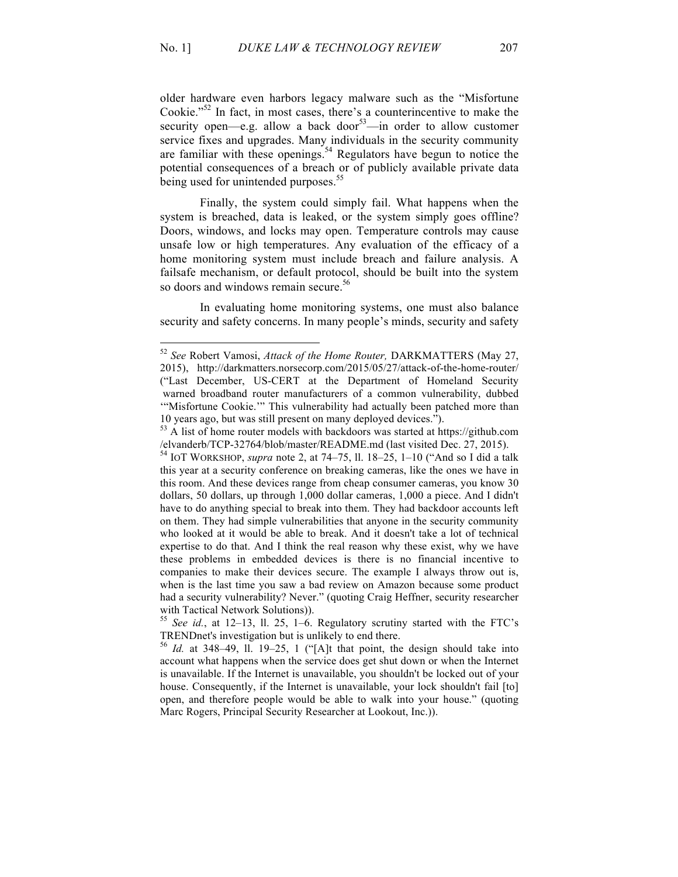older hardware even harbors legacy malware such as the "Misfortune Cookie."<sup>52</sup> In fact, in most cases, there's a counterincentive to make the security open—e.g. allow a back door<sup>53</sup>—in order to allow customer service fixes and upgrades. Many individuals in the security community are familiar with these openings.<sup>54</sup> Regulators have begun to notice the potential consequences of a breach or of publicly available private data being used for unintended purposes.<sup>55</sup>

Finally, the system could simply fail. What happens when the system is breached, data is leaked, or the system simply goes offline? Doors, windows, and locks may open. Temperature controls may cause unsafe low or high temperatures. Any evaluation of the efficacy of a home monitoring system must include breach and failure analysis. A failsafe mechanism, or default protocol, should be built into the system so doors and windows remain secure.<sup>56</sup>

In evaluating home monitoring systems, one must also balance security and safety concerns. In many people's minds, security and safety

<sup>52</sup> *See* Robert Vamosi, *Attack of the Home Router,* DARKMATTERS (May 27, 2015), http://darkmatters.norsecorp.com/2015/05/27/attack-of-the-home-router/ ("Last December, US-CERT at the Department of Homeland Security warned broadband router manufacturers of a common vulnerability, dubbed '"Misfortune Cookie.'" This vulnerability had actually been patched more than 10 years ago, but was still present on many deployed devices.").

<sup>&</sup>lt;sup>53</sup> A list of home router models with backdoors was started at https://github.com /elvanderb/TCP-32764/blob/master/README.md (last visited Dec. 27, 2015). <sup>54</sup> IOT WORKSHOP, *supra* note 2, at 74–75, ll. 18–25, 1–10 ("And so I did a talk

this year at a security conference on breaking cameras, like the ones we have in this room. And these devices range from cheap consumer cameras, you know 30 dollars, 50 dollars, up through 1,000 dollar cameras, 1,000 a piece. And I didn't have to do anything special to break into them. They had backdoor accounts left on them. They had simple vulnerabilities that anyone in the security community who looked at it would be able to break. And it doesn't take a lot of technical expertise to do that. And I think the real reason why these exist, why we have these problems in embedded devices is there is no financial incentive to companies to make their devices secure. The example I always throw out is, when is the last time you saw a bad review on Amazon because some product had a security vulnerability? Never." (quoting Craig Heffner, security researcher with Tactical Network Solutions)).

<sup>55</sup> *See id.*, at 12–13, ll. 25, 1–6. Regulatory scrutiny started with the FTC's TRENDnet's investigation but is unlikely to end there.

 $56$  *Id.* at 348–49, ll. 19–25, 1 ("[A]t that point, the design should take into account what happens when the service does get shut down or when the Internet is unavailable. If the Internet is unavailable, you shouldn't be locked out of your house. Consequently, if the Internet is unavailable, your lock shouldn't fail [to] open, and therefore people would be able to walk into your house." (quoting Marc Rogers, Principal Security Researcher at Lookout, Inc.)).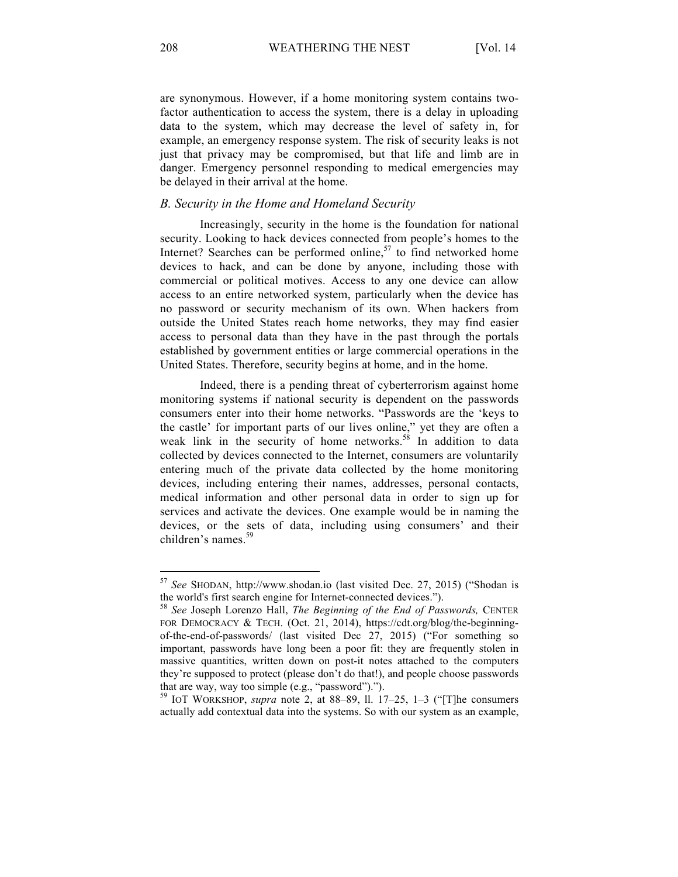are synonymous. However, if a home monitoring system contains twofactor authentication to access the system, there is a delay in uploading data to the system, which may decrease the level of safety in, for example, an emergency response system. The risk of security leaks is not just that privacy may be compromised, but that life and limb are in danger. Emergency personnel responding to medical emergencies may be delayed in their arrival at the home.

## *B. Security in the Home and Homeland Security*

Increasingly, security in the home is the foundation for national security. Looking to hack devices connected from people's homes to the Internet? Searches can be performed online, $57$  to find networked home devices to hack, and can be done by anyone, including those with commercial or political motives. Access to any one device can allow access to an entire networked system, particularly when the device has no password or security mechanism of its own. When hackers from outside the United States reach home networks, they may find easier access to personal data than they have in the past through the portals established by government entities or large commercial operations in the United States. Therefore, security begins at home, and in the home.

Indeed, there is a pending threat of cyberterrorism against home monitoring systems if national security is dependent on the passwords consumers enter into their home networks. "Passwords are the 'keys to the castle' for important parts of our lives online," yet they are often a weak link in the security of home networks.<sup>58</sup> In addition to data collected by devices connected to the Internet, consumers are voluntarily entering much of the private data collected by the home monitoring devices, including entering their names, addresses, personal contacts, medical information and other personal data in order to sign up for services and activate the devices. One example would be in naming the devices, or the sets of data, including using consumers' and their children's names.<sup>59</sup>

actually add contextual data into the systems. So with our system as an example,

<sup>57</sup> *See* SHODAN, http://www.shodan.io (last visited Dec. 27, 2015) ("Shodan is the world's first search engine for Internet-connected devices."). <sup>58</sup> *See* Joseph Lorenzo Hall, *The Beginning of the End of Passwords,* CENTER

FOR DEMOCRACY & TECH. (Oct. 21, 2014), https://cdt.org/blog/the-beginningof-the-end-of-passwords/ (last visited Dec 27, 2015) ("For something so important, passwords have long been a poor fit: they are frequently stolen in massive quantities, written down on post-it notes attached to the computers they're supposed to protect (please don't do that!), and people choose passwords that are way, way too simple (e.g., "password")."). <sup>59</sup> IOT WORKSHOP, *supra* note 2, at 88–89, ll. 17–25, 1–3 ("[T]he consumers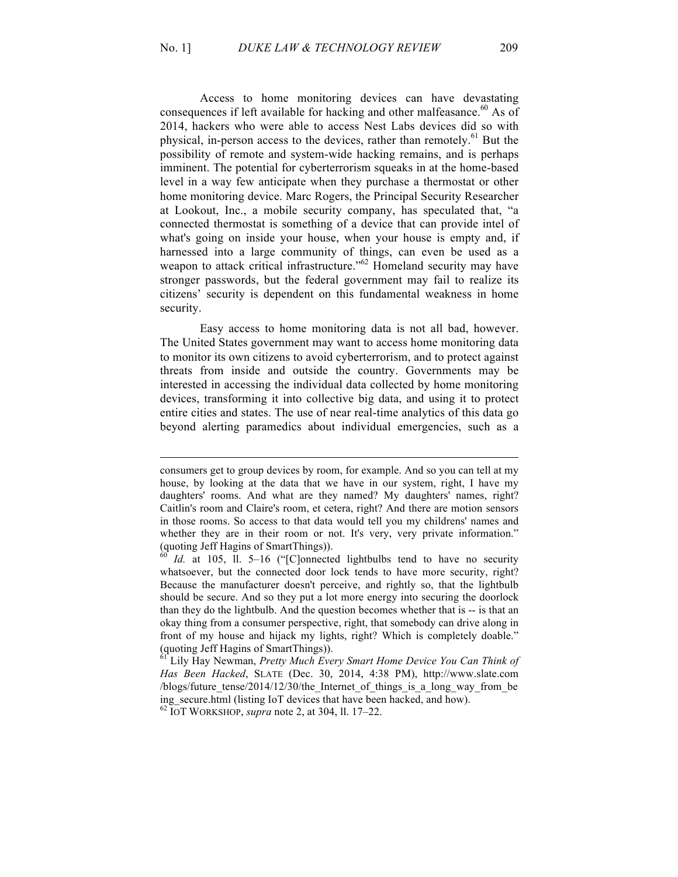Access to home monitoring devices can have devastating consequences if left available for hacking and other malfeasance.<sup>60</sup> As of 2014, hackers who were able to access Nest Labs devices did so with physical, in-person access to the devices, rather than remotely.<sup>61</sup> But the possibility of remote and system-wide hacking remains, and is perhaps imminent. The potential for cyberterrorism squeaks in at the home-based level in a way few anticipate when they purchase a thermostat or other home monitoring device. Marc Rogers, the Principal Security Researcher at Lookout, Inc., a mobile security company, has speculated that, "a connected thermostat is something of a device that can provide intel of what's going on inside your house, when your house is empty and, if harnessed into a large community of things, can even be used as a weapon to attack critical infrastructure."<sup>62</sup> Homeland security may have stronger passwords, but the federal government may fail to realize its citizens' security is dependent on this fundamental weakness in home security.

Easy access to home monitoring data is not all bad, however. The United States government may want to access home monitoring data to monitor its own citizens to avoid cyberterrorism, and to protect against threats from inside and outside the country. Governments may be interested in accessing the individual data collected by home monitoring devices, transforming it into collective big data, and using it to protect entire cities and states. The use of near real-time analytics of this data go beyond alerting paramedics about individual emergencies, such as a

consumers get to group devices by room, for example. And so you can tell at my house, by looking at the data that we have in our system, right, I have my daughters' rooms. And what are they named? My daughters' names, right? Caitlin's room and Claire's room, et cetera, right? And there are motion sensors in those rooms. So access to that data would tell you my childrens' names and whether they are in their room or not. It's very, very private information."<br>(quoting Jeff Hagins of SmartThings)).

Id. at 105, ll. 5–16 ("[C]onnected lightbulbs tend to have no security whatsoever, but the connected door lock tends to have more security, right? Because the manufacturer doesn't perceive, and rightly so, that the lightbulb should be secure. And so they put a lot more energy into securing the doorlock than they do the lightbulb. And the question becomes whether that is -- is that an okay thing from a consumer perspective, right, that somebody can drive along in front of my house and hijack my lights, right? Which is completely doable." (quoting Jeff Hagins of SmartThings)).

<sup>61</sup> Lily Hay Newman, *Pretty Much Every Smart Home Device You Can Think of Has Been Hacked*, SLATE (Dec. 30, 2014, 4:38 PM), http://www.slate.com /blogs/future tense/2014/12/30/the Internet of things is a long way from be ing\_secure.html (listing IoT devices that have been hacked, and how). <sup>62</sup> IOT WORKSHOP, *supra* note 2, at 304, ll. 17–22.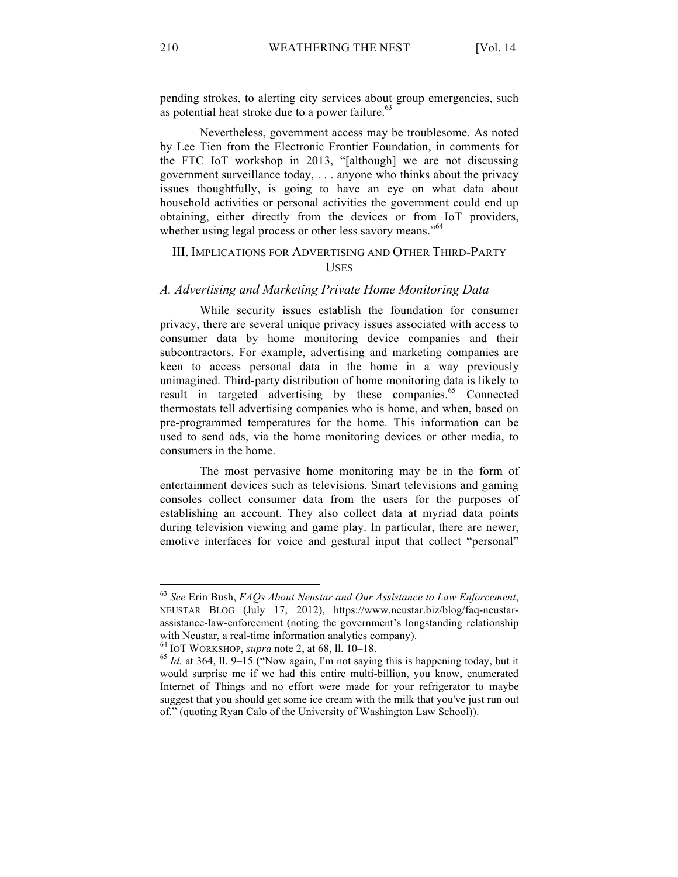pending strokes, to alerting city services about group emergencies, such as potential heat stroke due to a power failure. $63$ 

Nevertheless, government access may be troublesome. As noted by Lee Tien from the Electronic Frontier Foundation, in comments for the FTC IoT workshop in 2013, "[although] we are not discussing government surveillance today, . . . anyone who thinks about the privacy issues thoughtfully, is going to have an eye on what data about household activities or personal activities the government could end up obtaining, either directly from the devices or from IoT providers, whether using legal process or other less savory means."<sup>64</sup>

# III. IMPLICATIONS FOR ADVERTISING AND OTHER THIRD-PARTY **USES**

#### *A. Advertising and Marketing Private Home Monitoring Data*

While security issues establish the foundation for consumer privacy, there are several unique privacy issues associated with access to consumer data by home monitoring device companies and their subcontractors. For example, advertising and marketing companies are keen to access personal data in the home in a way previously unimagined. Third-party distribution of home monitoring data is likely to result in targeted advertising by these companies.<sup>65</sup> Connected thermostats tell advertising companies who is home, and when, based on pre-programmed temperatures for the home. This information can be used to send ads, via the home monitoring devices or other media, to consumers in the home.

The most pervasive home monitoring may be in the form of entertainment devices such as televisions. Smart televisions and gaming consoles collect consumer data from the users for the purposes of establishing an account. They also collect data at myriad data points during television viewing and game play. In particular, there are newer, emotive interfaces for voice and gestural input that collect "personal"

<sup>63</sup> *See* Erin Bush, *FAQs About Neustar and Our Assistance to Law Enforcement*, NEUSTAR BLOG (July 17, 2012), https://www.neustar.biz/blog/faq-neustarassistance-law-enforcement (noting the government's longstanding relationship with Neustar, a real-time information analytics company).<br><sup>64</sup> IOT WORKSHOP, *supra* note 2, at 68, ll. 10–18.<br><sup>65</sup> *Id.* at 364, ll. 9–15 ("Now again, I'm not saying this is happening today, but it

would surprise me if we had this entire multi-billion, you know, enumerated Internet of Things and no effort were made for your refrigerator to maybe suggest that you should get some ice cream with the milk that you've just run out of." (quoting Ryan Calo of the University of Washington Law School)).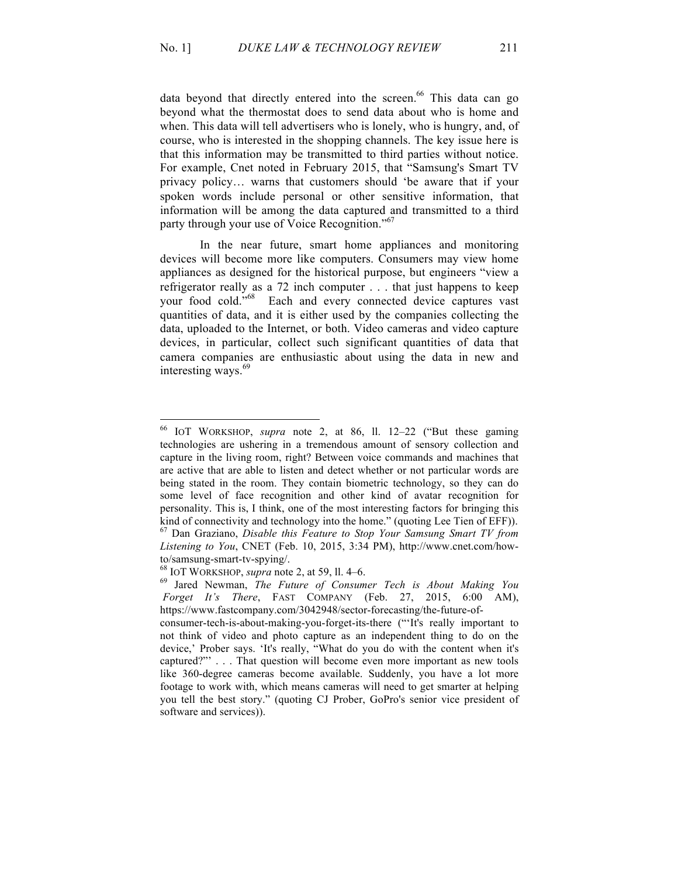data beyond that directly entered into the screen.<sup>66</sup> This data can go beyond what the thermostat does to send data about who is home and when. This data will tell advertisers who is lonely, who is hungry, and, of course, who is interested in the shopping channels. The key issue here is that this information may be transmitted to third parties without notice. For example, Cnet noted in February 2015, that "Samsung's Smart TV privacy policy… warns that customers should 'be aware that if your spoken words include personal or other sensitive information, that information will be among the data captured and transmitted to a third party through your use of Voice Recognition."<sup>67</sup>

In the near future, smart home appliances and monitoring devices will become more like computers. Consumers may view home appliances as designed for the historical purpose, but engineers "view a refrigerator really as a 72 inch computer . . . that just happens to keep your food cold."68 Each and every connected device captures vast quantities of data, and it is either used by the companies collecting the data, uploaded to the Internet, or both. Video cameras and video capture devices, in particular, collect such significant quantities of data that camera companies are enthusiastic about using the data in new and interesting ways.<sup>69</sup>

<sup>66</sup> IOT WORKSHOP, *supra* note 2, at 86, ll. 12–22 ("But these gaming technologies are ushering in a tremendous amount of sensory collection and capture in the living room, right? Between voice commands and machines that are active that are able to listen and detect whether or not particular words are being stated in the room. They contain biometric technology, so they can do some level of face recognition and other kind of avatar recognition for personality. This is, I think, one of the most interesting factors for bringing this kind of connectivity and technology into the home." (quoting Lee Tien of EFF)). <sup>67</sup> Dan Graziano, *Disable this Feature to Stop Your Samsung Smart TV from Listening to You*, CNET (Feb. 10, 2015, 3:34 PM), http://www.cnet.com/how-

to/samsung-smart-tv-spying/. <sup>68</sup> IOT WORKSHOP, *supra* note 2, at 59, ll. 4–6. <sup>69</sup> Jared Newman, *The Future of Consumer Tech is About Making You Forget It's There*, FAST COMPANY (Feb. 27, 2015, 6:00 AM), https://www.fastcompany.com/3042948/sector-forecasting/the-future-of-

consumer-tech-is-about-making-you-forget-its-there ("'It's really important to not think of video and photo capture as an independent thing to do on the device,' Prober says. 'It's really, "What do you do with the content when it's captured?"' . . . That question will become even more important as new tools like 360-degree cameras become available. Suddenly, you have a lot more footage to work with, which means cameras will need to get smarter at helping you tell the best story." (quoting CJ Prober, GoPro's senior vice president of software and services)).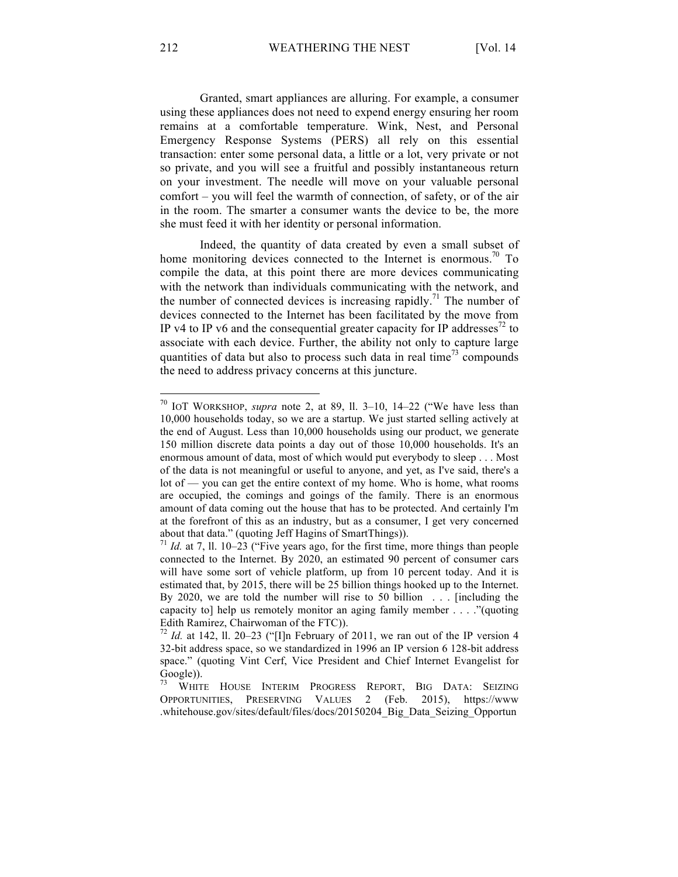Granted, smart appliances are alluring. For example, a consumer using these appliances does not need to expend energy ensuring her room remains at a comfortable temperature. Wink, Nest, and Personal Emergency Response Systems (PERS) all rely on this essential transaction: enter some personal data, a little or a lot, very private or not so private, and you will see a fruitful and possibly instantaneous return on your investment. The needle will move on your valuable personal comfort – you will feel the warmth of connection, of safety, or of the air in the room. The smarter a consumer wants the device to be, the more she must feed it with her identity or personal information.

Indeed, the quantity of data created by even a small subset of home monitoring devices connected to the Internet is enormous.<sup>70</sup> To compile the data, at this point there are more devices communicating with the network than individuals communicating with the network, and the number of connected devices is increasing rapidly.<sup>71</sup> The number of devices connected to the Internet has been facilitated by the move from IP v4 to IP v6 and the consequential greater capacity for IP addresses<sup>72</sup> to associate with each device. Further, the ability not only to capture large quantities of data but also to process such data in real time<sup>73</sup> compounds the need to address privacy concerns at this juncture.

<sup>70</sup> IOT WORKSHOP, *supra* note 2, at 89, ll. 3–10, 14–22 ("We have less than 10,000 households today, so we are a startup. We just started selling actively at the end of August. Less than 10,000 households using our product, we generate 150 million discrete data points a day out of those 10,000 households. It's an enormous amount of data, most of which would put everybody to sleep . . . Most of the data is not meaningful or useful to anyone, and yet, as I've said, there's a lot of — you can get the entire context of my home. Who is home, what rooms are occupied, the comings and goings of the family. There is an enormous amount of data coming out the house that has to be protected. And certainly I'm at the forefront of this as an industry, but as a consumer, I get very concerned about that data." (quoting Jeff Hagins of SmartThings)).<br><sup>71</sup> *Id.* at 7, ll. 10–23 ("Five years ago, for the first time, more things than people

connected to the Internet. By 2020, an estimated 90 percent of consumer cars will have some sort of vehicle platform, up from 10 percent today. And it is estimated that, by 2015, there will be 25 billion things hooked up to the Internet. By 2020, we are told the number will rise to 50 billion . . . [including the capacity to] help us remotely monitor an aging family member . . . ."(quoting Edith Ramirez, Chairwoman of the FTC)).

<sup>&</sup>lt;sup>72</sup> *Id.* at 142, 11. 20–23 ("I]n February of 2011, we ran out of the IP version 4 32-bit address space, so we standardized in 1996 an IP version 6 128-bit address space." (quoting Vint Cerf, Vice President and Chief Internet Evangelist for  $\frac{Google)}{73}$ . WHIT

<sup>73</sup> WHITE HOUSE INTERIM PROGRESS REPORT, BIG DATA: SEIZING OPPORTUNITIES, PRESERVING VALUES 2 (Feb. 2015), https://www .whitehouse.gov/sites/default/files/docs/20150204\_Big\_Data\_Seizing\_Opportun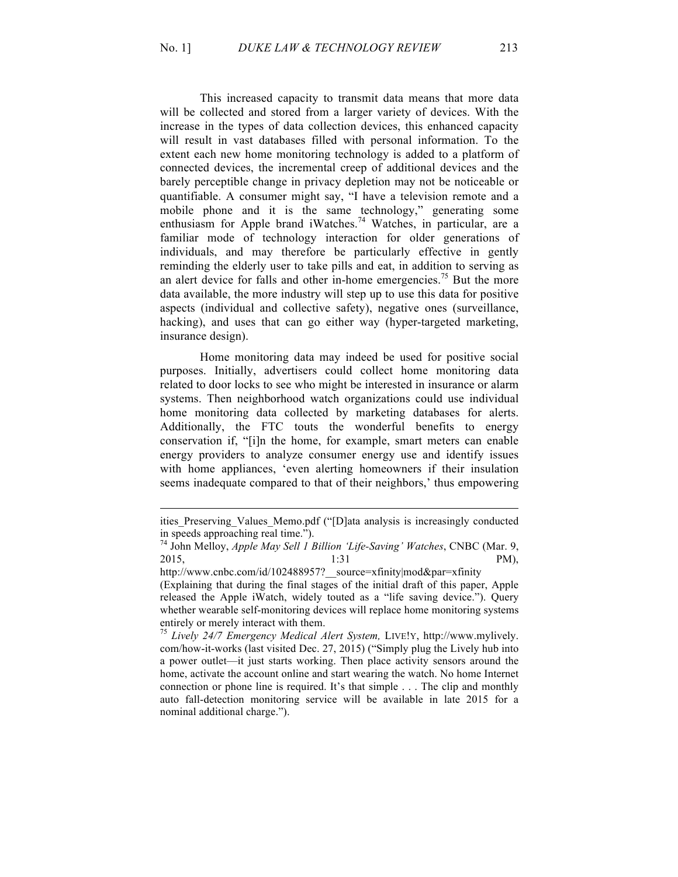This increased capacity to transmit data means that more data will be collected and stored from a larger variety of devices. With the increase in the types of data collection devices, this enhanced capacity will result in vast databases filled with personal information. To the extent each new home monitoring technology is added to a platform of connected devices, the incremental creep of additional devices and the barely perceptible change in privacy depletion may not be noticeable or quantifiable. A consumer might say, "I have a television remote and a mobile phone and it is the same technology," generating some enthusiasm for Apple brand iWatches.<sup>74</sup> Watches, in particular, are a familiar mode of technology interaction for older generations of individuals, and may therefore be particularly effective in gently reminding the elderly user to take pills and eat, in addition to serving as an alert device for falls and other in-home emergencies.<sup>75</sup> But the more data available, the more industry will step up to use this data for positive aspects (individual and collective safety), negative ones (surveillance, hacking), and uses that can go either way (hyper-targeted marketing, insurance design).

Home monitoring data may indeed be used for positive social purposes. Initially, advertisers could collect home monitoring data related to door locks to see who might be interested in insurance or alarm systems. Then neighborhood watch organizations could use individual home monitoring data collected by marketing databases for alerts. Additionally, the FTC touts the wonderful benefits to energy conservation if, "[i]n the home, for example, smart meters can enable energy providers to analyze consumer energy use and identify issues with home appliances, 'even alerting homeowners if their insulation seems inadequate compared to that of their neighbors,' thus empowering

ities\_Preserving\_Values\_Memo.pdf ("[D]ata analysis is increasingly conducted

in speeds approaching real time.").<br><sup>74</sup> John Melloy, *Apple May Sell 1 Billion 'Life-Saving' Watches*, CNBC (Mar. 9, 2015, 1:31 PM),

http://www.cnbc.com/id/102488957?\_\_source=xfinity|mod&par=xfinity (Explaining that during the final stages of the initial draft of this paper, Apple released the Apple iWatch, widely touted as a "life saving device."). Query whether wearable self-monitoring devices will replace home monitoring systems

entirely or merely interact with them. <sup>75</sup> *Lively 24/7 Emergency Medical Alert System,* LIVE!Y, http://www.mylively. com/how-it-works (last visited Dec. 27, 2015) ("Simply plug the Lively hub into a power outlet—it just starts working. Then place activity sensors around the home, activate the account online and start wearing the watch. No home Internet connection or phone line is required. It's that simple . . . The clip and monthly auto fall-detection monitoring service will be available in late 2015 for a nominal additional charge.").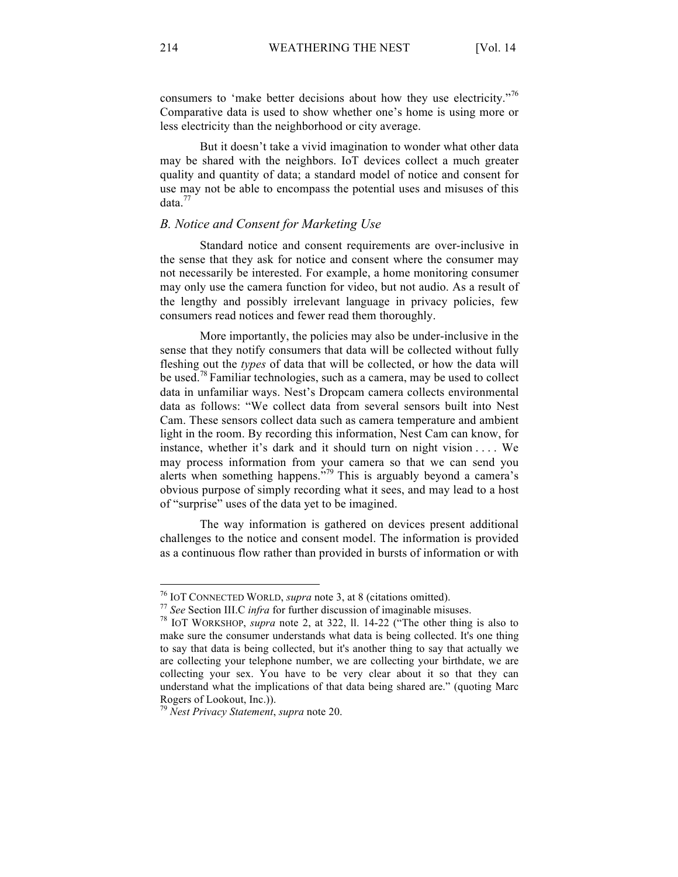consumers to 'make better decisions about how they use electricity."<sup>76</sup> Comparative data is used to show whether one's home is using more or less electricity than the neighborhood or city average.

But it doesn't take a vivid imagination to wonder what other data may be shared with the neighbors. IoT devices collect a much greater quality and quantity of data; a standard model of notice and consent for use may not be able to encompass the potential uses and misuses of this  $data.<sup>77</sup>$ 

# *B. Notice and Consent for Marketing Use*

Standard notice and consent requirements are over-inclusive in the sense that they ask for notice and consent where the consumer may not necessarily be interested. For example, a home monitoring consumer may only use the camera function for video, but not audio. As a result of the lengthy and possibly irrelevant language in privacy policies, few consumers read notices and fewer read them thoroughly.

More importantly, the policies may also be under-inclusive in the sense that they notify consumers that data will be collected without fully fleshing out the *types* of data that will be collected, or how the data will be used.<sup>78</sup> Familiar technologies, such as a camera, may be used to collect data in unfamiliar ways. Nest's Dropcam camera collects environmental data as follows: "We collect data from several sensors built into Nest Cam. These sensors collect data such as camera temperature and ambient light in the room. By recording this information, Nest Cam can know, for instance, whether it's dark and it should turn on night vision . . . . We may process information from your camera so that we can send you alerts when something happens.<sup> $579$ </sup> This is arguably beyond a camera's obvious purpose of simply recording what it sees, and may lead to a host of "surprise" uses of the data yet to be imagined.

The way information is gathered on devices present additional challenges to the notice and consent model. The information is provided as a continuous flow rather than provided in bursts of information or with

<sup>&</sup>lt;sup>76</sup> IOT CONNECTED WORLD, *supra* note 3, at 8 (citations omitted).<br><sup>77</sup> See Section III.C *infra* for further discussion of imaginable misuses.<br><sup>78</sup> IOT WORKSHOP, *supra* note 2, at 322, 11. 14-22 ("The other thing is al make sure the consumer understands what data is being collected. It's one thing to say that data is being collected, but it's another thing to say that actually we are collecting your telephone number, we are collecting your birthdate, we are collecting your sex. You have to be very clear about it so that they can understand what the implications of that data being shared are." (quoting Marc Rogers of Lookout, Inc.)). <sup>79</sup> *Nest Privacy Statement*, *supra* note 20.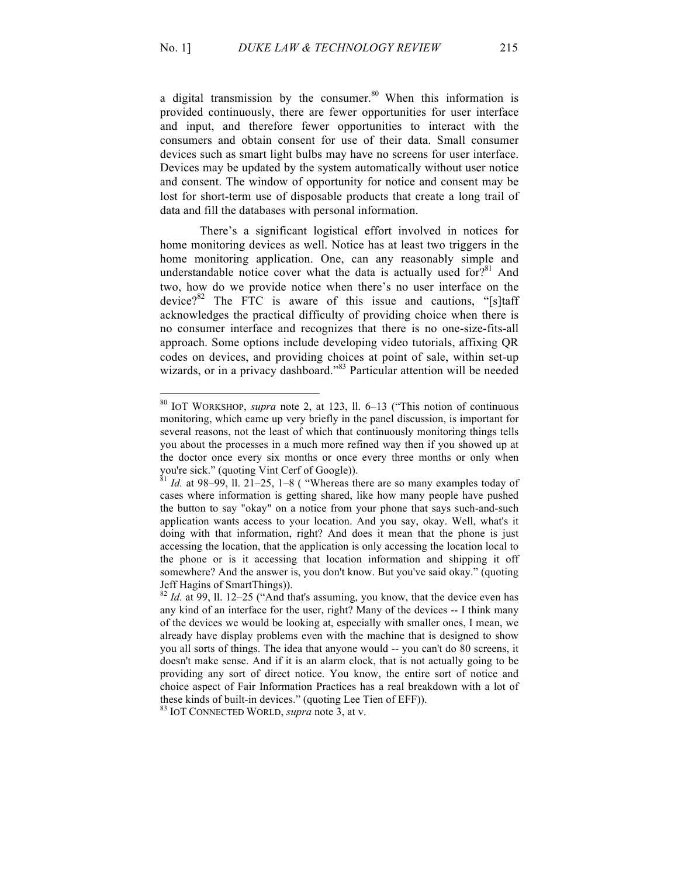a digital transmission by the consumer.<sup>80</sup> When this information is provided continuously, there are fewer opportunities for user interface and input, and therefore fewer opportunities to interact with the consumers and obtain consent for use of their data. Small consumer devices such as smart light bulbs may have no screens for user interface. Devices may be updated by the system automatically without user notice and consent. The window of opportunity for notice and consent may be lost for short-term use of disposable products that create a long trail of data and fill the databases with personal information.

There's a significant logistical effort involved in notices for home monitoring devices as well. Notice has at least two triggers in the home monitoring application. One, can any reasonably simple and understandable notice cover what the data is actually used for?<sup>81</sup> And two, how do we provide notice when there's no user interface on the device? $82$  The FTC is aware of this issue and cautions, "[s]taff acknowledges the practical difficulty of providing choice when there is no consumer interface and recognizes that there is no one-size-fits-all approach. Some options include developing video tutorials, affixing QR codes on devices, and providing choices at point of sale, within set-up wizards, or in a privacy dashboard."<sup>83</sup> Particular attention will be needed

<sup>80</sup> IOT WORKSHOP, *supra* note 2, at 123, ll. 6–13 ("This notion of continuous monitoring, which came up very briefly in the panel discussion, is important for several reasons, not the least of which that continuously monitoring things tells you about the processes in a much more refined way then if you showed up at the doctor once every six months or once every three months or only when you're sick." (quoting Vint Cerf of Google)).<br><sup>81</sup> *Id.* at 98–99, ll. 21–25, 1–8 ( "Whereas there are so many examples today of

cases where information is getting shared, like how many people have pushed the button to say "okay" on a notice from your phone that says such-and-such application wants access to your location. And you say, okay. Well, what's it doing with that information, right? And does it mean that the phone is just accessing the location, that the application is only accessing the location local to the phone or is it accessing that location information and shipping it off somewhere? And the answer is, you don't know. But you've said okay." (quoting Jeff Hagins of SmartThings)).

<sup>82</sup> *Id.* at 99, ll. 12–25 ("And that's assuming, you know, that the device even has any kind of an interface for the user, right? Many of the devices -- I think many of the devices we would be looking at, especially with smaller ones, I mean, we already have display problems even with the machine that is designed to show you all sorts of things. The idea that anyone would -- you can't do 80 screens, it doesn't make sense. And if it is an alarm clock, that is not actually going to be providing any sort of direct notice. You know, the entire sort of notice and choice aspect of Fair Information Practices has a real breakdown with a lot of these kinds of built-in devices." (quoting Lee Tien of EFF)). 83 IOT CONNECTED WORLD, *supra* note 3, at v.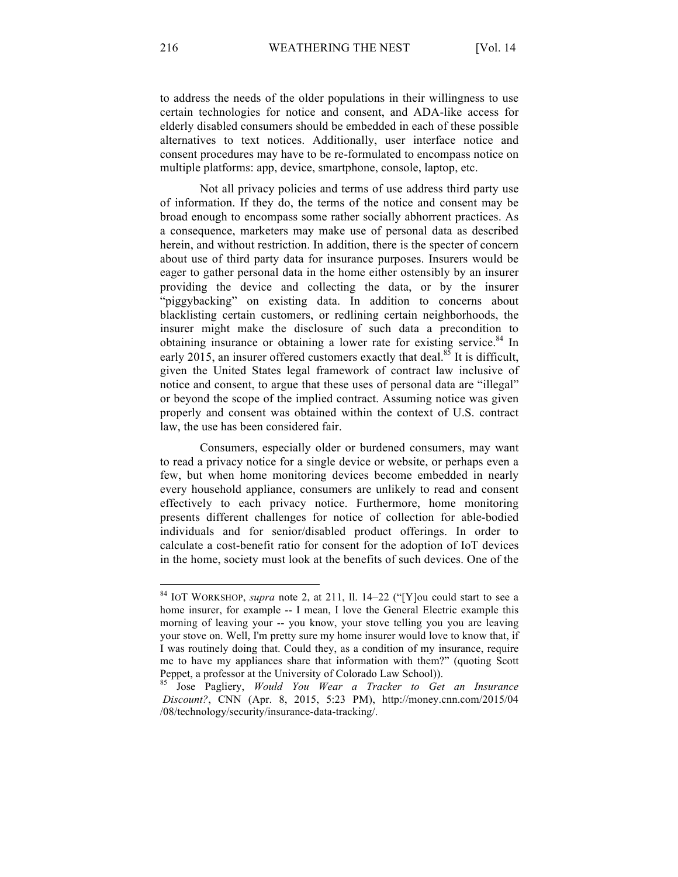to address the needs of the older populations in their willingness to use certain technologies for notice and consent, and ADA-like access for elderly disabled consumers should be embedded in each of these possible alternatives to text notices. Additionally, user interface notice and consent procedures may have to be re-formulated to encompass notice on multiple platforms: app, device, smartphone, console, laptop, etc.

Not all privacy policies and terms of use address third party use of information. If they do, the terms of the notice and consent may be broad enough to encompass some rather socially abhorrent practices. As a consequence, marketers may make use of personal data as described herein, and without restriction. In addition, there is the specter of concern about use of third party data for insurance purposes. Insurers would be eager to gather personal data in the home either ostensibly by an insurer providing the device and collecting the data, or by the insurer "piggybacking" on existing data. In addition to concerns about blacklisting certain customers, or redlining certain neighborhoods, the insurer might make the disclosure of such data a precondition to obtaining insurance or obtaining a lower rate for existing service.<sup>84</sup> In early 2015, an insurer offered customers exactly that deal.<sup>85</sup> It is difficult, given the United States legal framework of contract law inclusive of notice and consent, to argue that these uses of personal data are "illegal" or beyond the scope of the implied contract. Assuming notice was given properly and consent was obtained within the context of U.S. contract law, the use has been considered fair.

Consumers, especially older or burdened consumers, may want to read a privacy notice for a single device or website, or perhaps even a few, but when home monitoring devices become embedded in nearly every household appliance, consumers are unlikely to read and consent effectively to each privacy notice. Furthermore, home monitoring presents different challenges for notice of collection for able-bodied individuals and for senior/disabled product offerings. In order to calculate a cost-benefit ratio for consent for the adoption of IoT devices in the home, society must look at the benefits of such devices. One of the

<sup>84</sup> IOT WORKSHOP, *supra* note 2, at 211, ll. 14–22 ("[Y]ou could start to see a home insurer, for example -- I mean, I love the General Electric example this morning of leaving your -- you know, your stove telling you you are leaving your stove on. Well, I'm pretty sure my home insurer would love to know that, if I was routinely doing that. Could they, as a condition of my insurance, require me to have my appliances share that information with them?" (quoting Scott Peppet, a professor at the University of Colorado Law School)).

<sup>85</sup> Jose Pagliery, *Would You Wear a Tracker to Get an Insurance Discount?*, CNN (Apr. 8, 2015, 5:23 PM), http://money.cnn.com/2015/04 /08/technology/security/insurance-data-tracking/.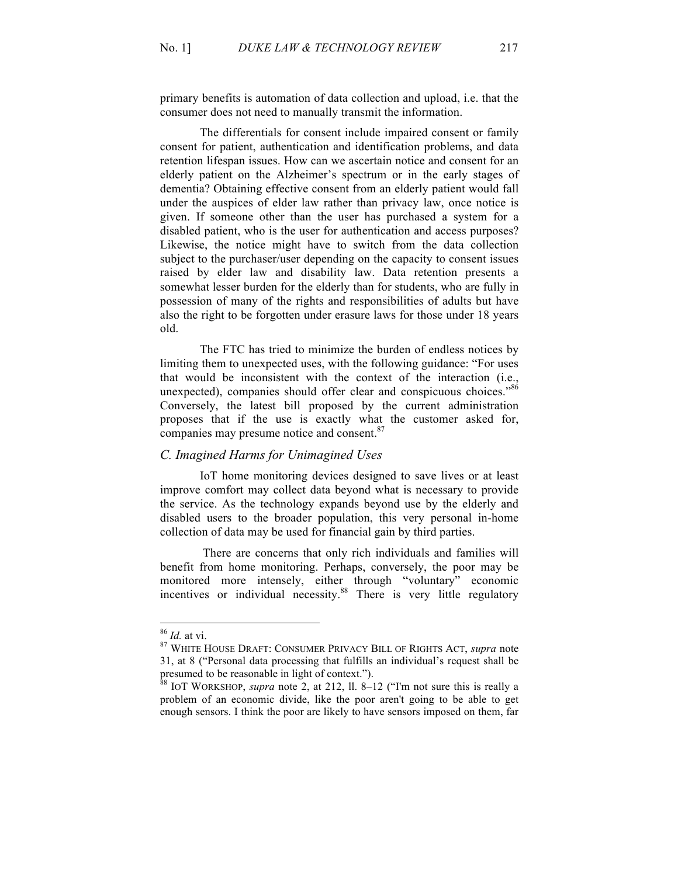primary benefits is automation of data collection and upload, i.e. that the consumer does not need to manually transmit the information.

The differentials for consent include impaired consent or family consent for patient, authentication and identification problems, and data retention lifespan issues. How can we ascertain notice and consent for an elderly patient on the Alzheimer's spectrum or in the early stages of dementia? Obtaining effective consent from an elderly patient would fall under the auspices of elder law rather than privacy law, once notice is given. If someone other than the user has purchased a system for a disabled patient, who is the user for authentication and access purposes? Likewise, the notice might have to switch from the data collection subject to the purchaser/user depending on the capacity to consent issues raised by elder law and disability law. Data retention presents a somewhat lesser burden for the elderly than for students, who are fully in possession of many of the rights and responsibilities of adults but have also the right to be forgotten under erasure laws for those under 18 years old.

The FTC has tried to minimize the burden of endless notices by limiting them to unexpected uses, with the following guidance: "For uses that would be inconsistent with the context of the interaction (i.e., unexpected), companies should offer clear and conspicuous choices."86 Conversely, the latest bill proposed by the current administration proposes that if the use is exactly what the customer asked for, companies may presume notice and consent.<sup>87</sup>

## *C. Imagined Harms for Unimagined Uses*

IoT home monitoring devices designed to save lives or at least improve comfort may collect data beyond what is necessary to provide the service. As the technology expands beyond use by the elderly and disabled users to the broader population, this very personal in-home collection of data may be used for financial gain by third parties.

There are concerns that only rich individuals and families will benefit from home monitoring. Perhaps, conversely, the poor may be monitored more intensely, either through "voluntary" economic incentives or individual necessity. $88$  There is very little regulatory

<sup>86</sup> *Id.* at vi. <sup>87</sup> WHITE HOUSE DRAFT: CONSUMER PRIVACY BILL OF RIGHTS ACT, *supra* note 31, at 8 ("Personal data processing that fulfills an individual's request shall be presumed to be reasonable in light of context.").

<sup>88</sup> IOT WORKSHOP, *supra* note 2, at 212, ll. 8–12 ("I'm not sure this is really a problem of an economic divide, like the poor aren't going to be able to get enough sensors. I think the poor are likely to have sensors imposed on them, far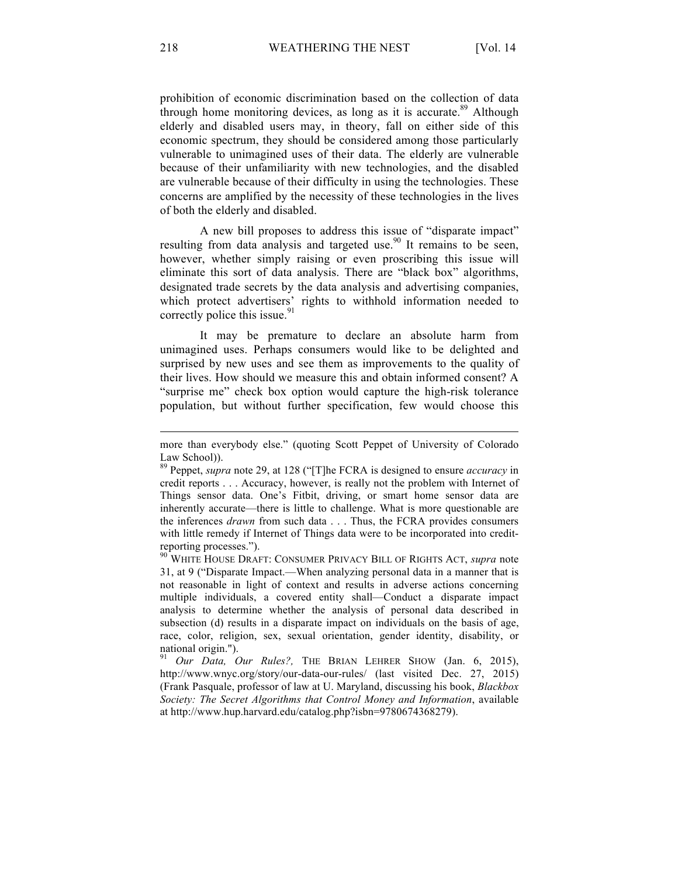prohibition of economic discrimination based on the collection of data through home monitoring devices, as long as it is accurate.<sup>89</sup> Although elderly and disabled users may, in theory, fall on either side of this economic spectrum, they should be considered among those particularly vulnerable to unimagined uses of their data. The elderly are vulnerable because of their unfamiliarity with new technologies, and the disabled are vulnerable because of their difficulty in using the technologies. These concerns are amplified by the necessity of these technologies in the lives of both the elderly and disabled.

A new bill proposes to address this issue of "disparate impact" resulting from data analysis and targeted use.<sup>90</sup> It remains to be seen, however, whether simply raising or even proscribing this issue will eliminate this sort of data analysis. There are "black box" algorithms, designated trade secrets by the data analysis and advertising companies, which protect advertisers' rights to withhold information needed to correctly police this issue. $91$ 

It may be premature to declare an absolute harm from unimagined uses. Perhaps consumers would like to be delighted and surprised by new uses and see them as improvements to the quality of their lives. How should we measure this and obtain informed consent? A "surprise me" check box option would capture the high-risk tolerance population, but without further specification, few would choose this

<sup>90</sup> WHITE HOUSE DRAFT: CONSUMER PRIVACY BILL OF RIGHTS ACT, *supra* note 31, at 9 ("Disparate Impact.—When analyzing personal data in a manner that is not reasonable in light of context and results in adverse actions concerning multiple individuals, a covered entity shall—Conduct a disparate impact analysis to determine whether the analysis of personal data described in subsection (d) results in a disparate impact on individuals on the basis of age, race, color, religion, sex, sexual orientation, gender identity, disability, or national origin.").

<sup>91</sup> *Our Data, Our Rules?,* THE BRIAN LEHRER SHOW (Jan. 6, 2015), http://www.wnyc.org/story/our-data-our-rules/ (last visited Dec. 27, 2015) (Frank Pasquale, professor of law at U. Maryland, discussing his book, *Blackbox Society: The Secret Algorithms that Control Money and Information*, available at http://www.hup.harvard.edu/catalog.php?isbn=9780674368279).

more than everybody else." (quoting Scott Peppet of University of Colorado Law School)).

<sup>89</sup> Peppet, *supra* note 29, at 128 ("[T]he FCRA is designed to ensure *accuracy* in credit reports . . . Accuracy, however, is really not the problem with Internet of Things sensor data. One's Fitbit, driving, or smart home sensor data are inherently accurate—there is little to challenge. What is more questionable are the inferences *drawn* from such data . . . Thus, the FCRA provides consumers with little remedy if Internet of Things data were to be incorporated into creditreporting processes.").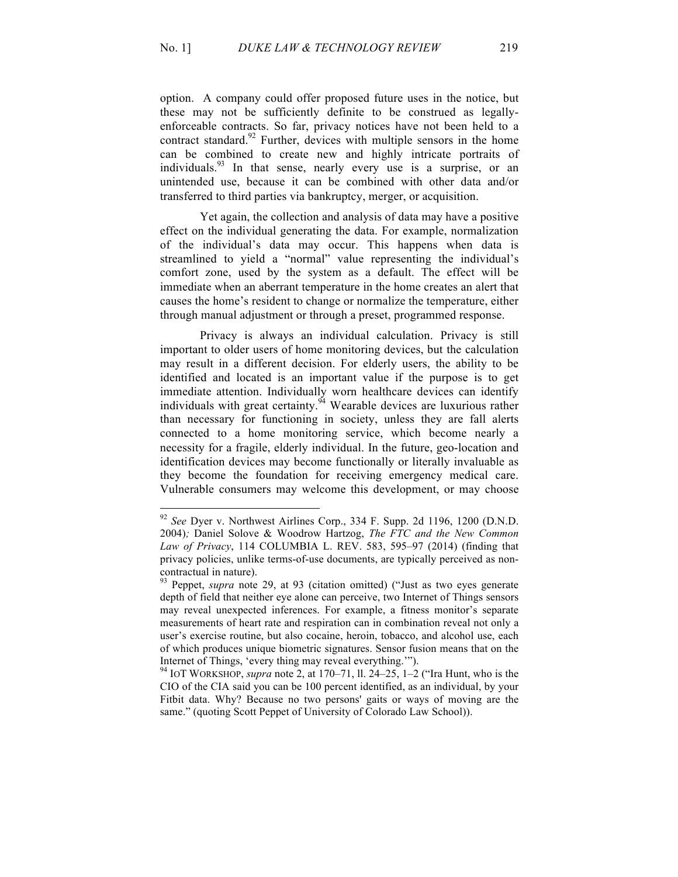option. A company could offer proposed future uses in the notice, but these may not be sufficiently definite to be construed as legallyenforceable contracts. So far, privacy notices have not been held to a contract standard.<sup>92</sup> Further, devices with multiple sensors in the home can be combined to create new and highly intricate portraits of individuals.<sup>93</sup> In that sense, nearly every use is a surprise, or an unintended use, because it can be combined with other data and/or transferred to third parties via bankruptcy, merger, or acquisition.

Yet again, the collection and analysis of data may have a positive effect on the individual generating the data. For example, normalization of the individual's data may occur. This happens when data is streamlined to yield a "normal" value representing the individual's comfort zone, used by the system as a default. The effect will be immediate when an aberrant temperature in the home creates an alert that causes the home's resident to change or normalize the temperature, either through manual adjustment or through a preset, programmed response.

Privacy is always an individual calculation. Privacy is still important to older users of home monitoring devices, but the calculation may result in a different decision. For elderly users, the ability to be identified and located is an important value if the purpose is to get immediate attention. Individually worn healthcare devices can identify individuals with great certainty.  $\frac{94}{4}$  Wearable devices are luxurious rather than necessary for functioning in society, unless they are fall alerts connected to a home monitoring service, which become nearly a necessity for a fragile, elderly individual. In the future, geo-location and identification devices may become functionally or literally invaluable as they become the foundation for receiving emergency medical care. Vulnerable consumers may welcome this development, or may choose

<sup>92</sup> *See* Dyer v. Northwest Airlines Corp., 334 F. Supp. 2d 1196, 1200 (D.N.D. 2004)*;* Daniel Solove & Woodrow Hartzog, *The FTC and the New Common Law of Privacy*, 114 COLUMBIA L. REV. 583, 595–97 (2014) (finding that privacy policies, unlike terms-of-use documents, are typically perceived as noncontractual in nature).

<sup>93</sup> Peppet, *supra* note 29, at 93 (citation omitted) ("Just as two eyes generate depth of field that neither eye alone can perceive, two Internet of Things sensors may reveal unexpected inferences. For example, a fitness monitor's separate measurements of heart rate and respiration can in combination reveal not only a user's exercise routine, but also cocaine, heroin, tobacco, and alcohol use, each of which produces unique biometric signatures. Sensor fusion means that on the Internet of Things, 'every thing may reveal everything.'").

<sup>94</sup> IOT WORKSHOP, *supra* note 2, at 170–71, ll. 24–25, 1–2 ("Ira Hunt, who is the CIO of the CIA said you can be 100 percent identified, as an individual, by your Fitbit data. Why? Because no two persons' gaits or ways of moving are the same." (quoting Scott Peppet of University of Colorado Law School)).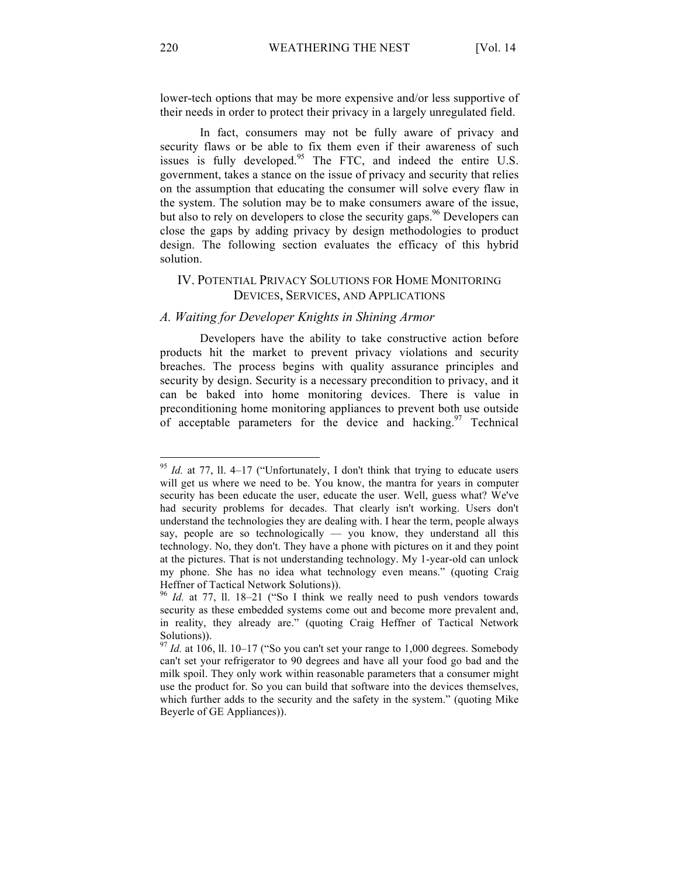lower-tech options that may be more expensive and/or less supportive of their needs in order to protect their privacy in a largely unregulated field.

In fact, consumers may not be fully aware of privacy and security flaws or be able to fix them even if their awareness of such issues is fully developed.<sup>95</sup> The FTC, and indeed the entire U.S. government, takes a stance on the issue of privacy and security that relies on the assumption that educating the consumer will solve every flaw in the system. The solution may be to make consumers aware of the issue, but also to rely on developers to close the security gaps.<sup>96</sup> Developers can close the gaps by adding privacy by design methodologies to product design. The following section evaluates the efficacy of this hybrid solution.

# IV. POTENTIAL PRIVACY SOLUTIONS FOR HOME MONITORING DEVICES, SERVICES, AND APPLICATIONS

#### *A. Waiting for Developer Knights in Shining Armor*

Developers have the ability to take constructive action before products hit the market to prevent privacy violations and security breaches. The process begins with quality assurance principles and security by design. Security is a necessary precondition to privacy, and it can be baked into home monitoring devices. There is value in preconditioning home monitoring appliances to prevent both use outside of acceptable parameters for the device and hacking. <sup>97</sup> Technical

<sup>95</sup> *Id.* at 77, ll. 4–17 ("Unfortunately, I don't think that trying to educate users will get us where we need to be. You know, the mantra for years in computer security has been educate the user, educate the user. Well, guess what? We've had security problems for decades. That clearly isn't working. Users don't understand the technologies they are dealing with. I hear the term, people always say, people are so technologically — you know, they understand all this technology. No, they don't. They have a phone with pictures on it and they point at the pictures. That is not understanding technology. My 1-year-old can unlock my phone. She has no idea what technology even means." (quoting Craig Heffner of Tactical Network Solutions)).

<sup>96</sup> *Id.* at 77, ll. 18–21 ("So I think we really need to push vendors towards security as these embedded systems come out and become more prevalent and, in reality, they already are." (quoting Craig Heffner of Tactical Network Solutions)).

<sup>97</sup> *Id.* at 106, ll. 10–17 ("So you can't set your range to 1,000 degrees. Somebody can't set your refrigerator to 90 degrees and have all your food go bad and the milk spoil. They only work within reasonable parameters that a consumer might use the product for. So you can build that software into the devices themselves, which further adds to the security and the safety in the system." (quoting Mike Beyerle of GE Appliances)).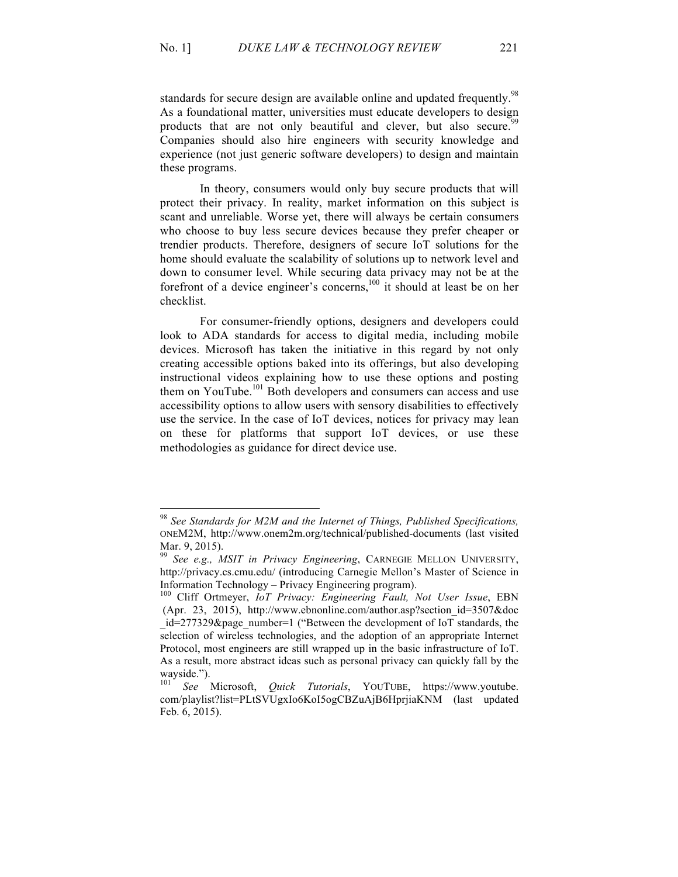standards for secure design are available online and updated frequently.<sup>98</sup> As a foundational matter, universities must educate developers to design products that are not only beautiful and clever, but also secure.<sup>99</sup> Companies should also hire engineers with security knowledge and experience (not just generic software developers) to design and maintain these programs.

In theory, consumers would only buy secure products that will protect their privacy. In reality, market information on this subject is scant and unreliable. Worse yet, there will always be certain consumers who choose to buy less secure devices because they prefer cheaper or trendier products. Therefore, designers of secure IoT solutions for the home should evaluate the scalability of solutions up to network level and down to consumer level. While securing data privacy may not be at the forefront of a device engineer's concerns,<sup>100</sup> it should at least be on her checklist.

For consumer-friendly options, designers and developers could look to ADA standards for access to digital media, including mobile devices. Microsoft has taken the initiative in this regard by not only creating accessible options baked into its offerings, but also developing instructional videos explaining how to use these options and posting them on YouTube.<sup>101</sup> Both developers and consumers can access and use accessibility options to allow users with sensory disabilities to effectively use the service. In the case of IoT devices, notices for privacy may lean on these for platforms that support IoT devices, or use these methodologies as guidance for direct device use.

<sup>98</sup> *See Standards for M2M and the Internet of Things, Published Specifications,* ONEM2M, http://www.onem2m.org/technical/published-documents (last visited Mar. 9, 2015).

<sup>99</sup> *See e.g., MSIT in Privacy Engineering*, CARNEGIE MELLON UNIVERSITY, http://privacy.cs.cmu.edu/ (introducing Carnegie Mellon's Master of Science in Information Technology – Privacy Engineering program). <sup>100</sup> Cliff Ortmeyer, *IoT Privacy: Engineering Fault, Not User Issue*, EBN

<sup>(</sup>Apr. 23, 2015), http://www.ebnonline.com/author.asp?section  $id=3507\&doc$  $id=277329$ &page\_number=1 ("Between the development of IoT standards, the selection of wireless technologies, and the adoption of an appropriate Internet Protocol, most engineers are still wrapped up in the basic infrastructure of IoT. As a result, more abstract ideas such as personal privacy can quickly fall by the wayside.").<br><sup>101</sup> *See* Microsoft, *Ouick Tutorials*, YOUTUBE, https://www.youtube.

com/playlist?list=PLtSVUgxIo6KoI5ogCBZuAjB6HprjiaKNM (last updated Feb. 6, 2015).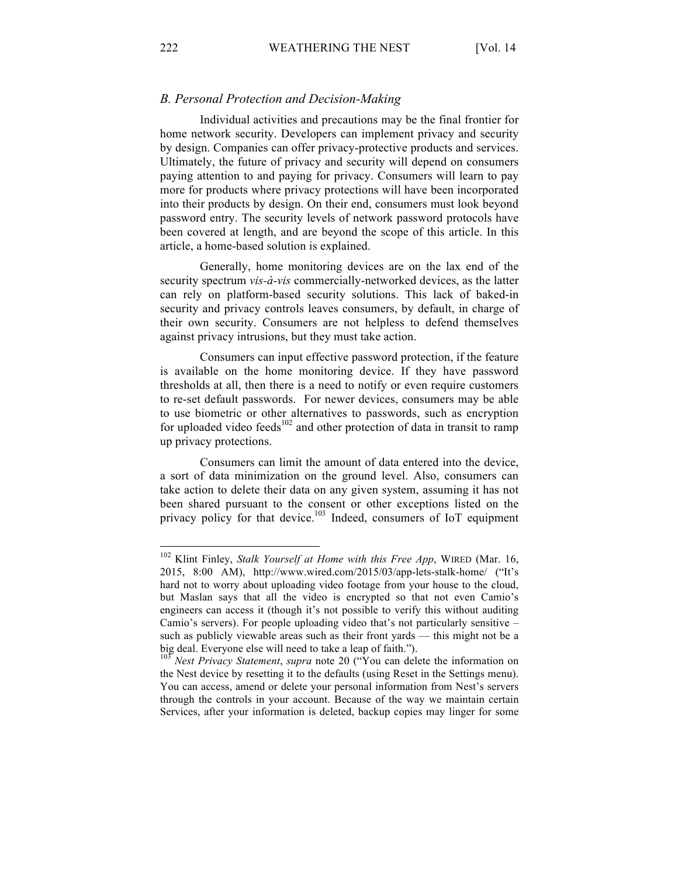#### *B. Personal Protection and Decision-Making*

Individual activities and precautions may be the final frontier for home network security. Developers can implement privacy and security by design. Companies can offer privacy-protective products and services. Ultimately, the future of privacy and security will depend on consumers paying attention to and paying for privacy. Consumers will learn to pay more for products where privacy protections will have been incorporated into their products by design. On their end, consumers must look beyond password entry. The security levels of network password protocols have been covered at length, and are beyond the scope of this article. In this article, a home-based solution is explained.

Generally, home monitoring devices are on the lax end of the security spectrum *vis-à-vis* commercially-networked devices, as the latter can rely on platform-based security solutions. This lack of baked-in security and privacy controls leaves consumers, by default, in charge of their own security. Consumers are not helpless to defend themselves against privacy intrusions, but they must take action.

Consumers can input effective password protection, if the feature is available on the home monitoring device. If they have password thresholds at all, then there is a need to notify or even require customers to re-set default passwords. For newer devices, consumers may be able to use biometric or other alternatives to passwords, such as encryption for uploaded video feeds<sup>102</sup> and other protection of data in transit to ramp up privacy protections.

Consumers can limit the amount of data entered into the device, a sort of data minimization on the ground level. Also, consumers can take action to delete their data on any given system, assuming it has not been shared pursuant to the consent or other exceptions listed on the privacy policy for that device.<sup>103</sup> Indeed, consumers of IoT equipment

<sup>&</sup>lt;sup>102</sup> Klint Finley, *Stalk Yourself at Home with this Free App*, WIRED (Mar. 16, 2015, 8:00 AM), http://www.wired.com/2015/03/app-lets-stalk-home/ ("It's hard not to worry about uploading video footage from your house to the cloud, but Maslan says that all the video is encrypted so that not even Camio's engineers can access it (though it's not possible to verify this without auditing Camio's servers). For people uploading video that's not particularly sensitive – such as publicly viewable areas such as their front yards — this might not be a

big deal. Everyone else will need to take a leap of faith.").<br><sup>103</sup> *Nest Privacy Statement*, *supra* note 20 ("You can delete the information on the Nest device by resetting it to the defaults (using Reset in the Settings menu). You can access, amend or delete your personal information from Nest's servers through the controls in your account. Because of the way we maintain certain Services, after your information is deleted, backup copies may linger for some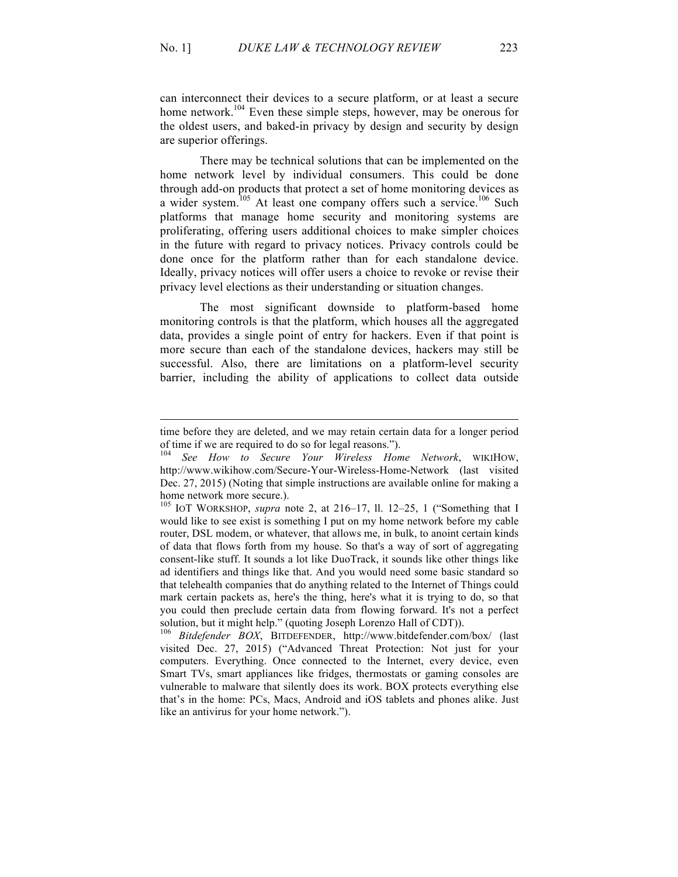can interconnect their devices to a secure platform, or at least a secure home network.<sup>104</sup> Even these simple steps, however, may be onerous for the oldest users, and baked-in privacy by design and security by design are superior offerings.

There may be technical solutions that can be implemented on the home network level by individual consumers. This could be done through add-on products that protect a set of home monitoring devices as a wider system.<sup>105</sup> At least one company offers such a service.<sup>106</sup> Such platforms that manage home security and monitoring systems are proliferating, offering users additional choices to make simpler choices in the future with regard to privacy notices. Privacy controls could be done once for the platform rather than for each standalone device. Ideally, privacy notices will offer users a choice to revoke or revise their privacy level elections as their understanding or situation changes.

The most significant downside to platform-based home monitoring controls is that the platform, which houses all the aggregated data, provides a single point of entry for hackers. Even if that point is more secure than each of the standalone devices, hackers may still be successful. Also, there are limitations on a platform-level security barrier, including the ability of applications to collect data outside

time before they are deleted, and we may retain certain data for a longer period of time if we are required to do so for legal reasons.").

<sup>104</sup> *See How to Secure Your Wireless Home Network*, WIKIHOW, http://www.wikihow.com/Secure-Your-Wireless-Home-Network (last visited Dec. 27, 2015) (Noting that simple instructions are available online for making a home network more secure.).

<sup>105</sup> IOT WORKSHOP, *supra* note 2, at 216–17, ll. 12–25, 1 ("Something that I would like to see exist is something I put on my home network before my cable router, DSL modem, or whatever, that allows me, in bulk, to anoint certain kinds of data that flows forth from my house. So that's a way of sort of aggregating consent-like stuff. It sounds a lot like DuoTrack, it sounds like other things like ad identifiers and things like that. And you would need some basic standard so that telehealth companies that do anything related to the Internet of Things could mark certain packets as, here's the thing, here's what it is trying to do, so that you could then preclude certain data from flowing forward. It's not a perfect solution, but it might help." (quoting Joseph Lorenzo Hall of CDT)).

<sup>106</sup> *Bitdefender BOX*, BITDEFENDER, http://www.bitdefender.com/box/ (last visited Dec. 27, 2015) ("Advanced Threat Protection: Not just for your computers. Everything. Once connected to the Internet, every device, even Smart TVs, smart appliances like fridges, thermostats or gaming consoles are vulnerable to malware that silently does its work. BOX protects everything else that's in the home: PCs, Macs, Android and iOS tablets and phones alike. Just like an antivirus for your home network.").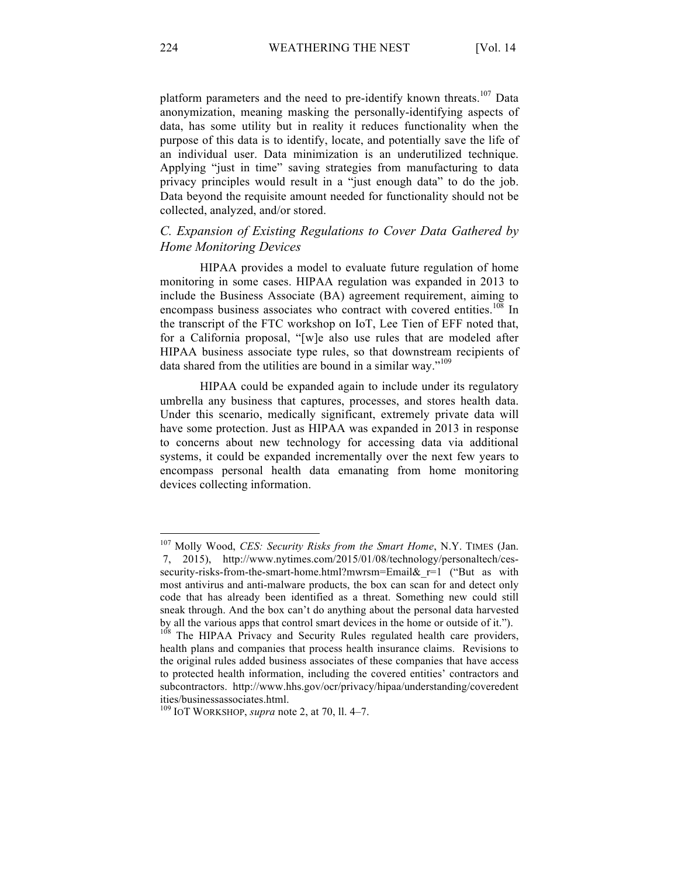platform parameters and the need to pre-identify known threats.<sup>107</sup> Data anonymization, meaning masking the personally-identifying aspects of data, has some utility but in reality it reduces functionality when the purpose of this data is to identify, locate, and potentially save the life of an individual user. Data minimization is an underutilized technique. Applying "just in time" saving strategies from manufacturing to data privacy principles would result in a "just enough data" to do the job. Data beyond the requisite amount needed for functionality should not be collected, analyzed, and/or stored.

# *C. Expansion of Existing Regulations to Cover Data Gathered by Home Monitoring Devices*

HIPAA provides a model to evaluate future regulation of home monitoring in some cases. HIPAA regulation was expanded in 2013 to include the Business Associate (BA) agreement requirement, aiming to encompass business associates who contract with covered entities.<sup>108</sup> In the transcript of the FTC workshop on IoT, Lee Tien of EFF noted that, for a California proposal, "[w]e also use rules that are modeled after HIPAA business associate type rules, so that downstream recipients of data shared from the utilities are bound in a similar way."<sup>109</sup>

HIPAA could be expanded again to include under its regulatory umbrella any business that captures, processes, and stores health data. Under this scenario, medically significant, extremely private data will have some protection. Just as HIPAA was expanded in 2013 in response to concerns about new technology for accessing data via additional systems, it could be expanded incrementally over the next few years to encompass personal health data emanating from home monitoring devices collecting information.

<sup>&</sup>lt;sup>107</sup> Molly Wood, *CES: Security Risks from the Smart Home*, N.Y. TIMES (Jan. 7, 2015), http://www.nytimes.com/2015/01/08/technology/personaltech/cessecurity-risks-from-the-smart-home.html?mwrsm=Email& r=1 ("But as with most antivirus and anti-malware products, the box can scan for and detect only code that has already been identified as a threat. Something new could still sneak through. And the box can't do anything about the personal data harvested by all the various apps that control smart devices in the home or outside of it.").

<sup>&</sup>lt;sup>108</sup> The HIPAA Privacy and Security Rules regulated health care providers, health plans and companies that process health insurance claims. Revisions to the original rules added business associates of these companies that have access to protected health information, including the covered entities' contractors and subcontractors. http://www.hhs.gov/ocr/privacy/hipaa/understanding/coveredent ities/businessassociates.html. <sup>109</sup> IOT WORKSHOP, *supra* note 2, at 70, ll. 4–7.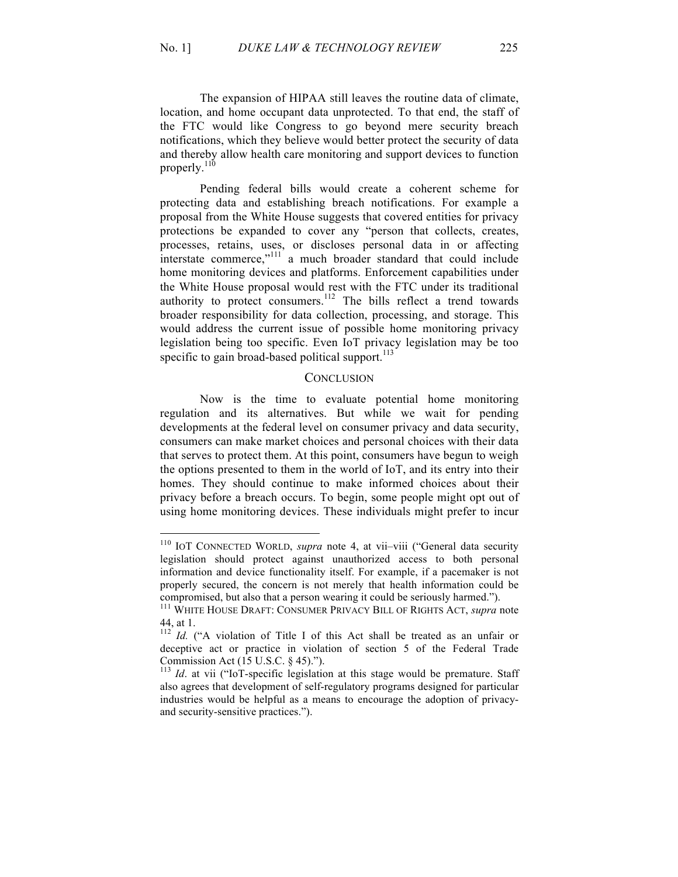The expansion of HIPAA still leaves the routine data of climate, location, and home occupant data unprotected. To that end, the staff of the FTC would like Congress to go beyond mere security breach notifications, which they believe would better protect the security of data and thereby allow health care monitoring and support devices to function properly.<sup>110</sup>

Pending federal bills would create a coherent scheme for protecting data and establishing breach notifications. For example a proposal from the White House suggests that covered entities for privacy protections be expanded to cover any "person that collects, creates, processes, retains, uses, or discloses personal data in or affecting interstate commerce,"<sup>111</sup> a much broader standard that could include home monitoring devices and platforms. Enforcement capabilities under the White House proposal would rest with the FTC under its traditional authority to protect consumers.<sup>112</sup> The bills reflect a trend towards broader responsibility for data collection, processing, and storage. This would address the current issue of possible home monitoring privacy legislation being too specific. Even IoT privacy legislation may be too specific to gain broad-based political support. $113$ 

## **CONCLUSION**

Now is the time to evaluate potential home monitoring regulation and its alternatives. But while we wait for pending developments at the federal level on consumer privacy and data security, consumers can make market choices and personal choices with their data that serves to protect them. At this point, consumers have begun to weigh the options presented to them in the world of IoT, and its entry into their homes. They should continue to make informed choices about their privacy before a breach occurs. To begin, some people might opt out of using home monitoring devices. These individuals might prefer to incur

<sup>110</sup> IOT CONNECTED WORLD, *supra* note 4, at vii–viii ("General data security legislation should protect against unauthorized access to both personal information and device functionality itself. For example, if a pacemaker is not properly secured, the concern is not merely that health information could be compromised, but also that a person wearing it could be seriously harmed.").

<sup>111</sup> WHITE HOUSE DRAFT: CONSUMER PRIVACY BILL OF RIGHTS ACT, *supra* note 44, at 1.

<sup>&</sup>lt;sup>112</sup> *Id.* ("A violation of Title I of this Act shall be treated as an unfair or deceptive act or practice in violation of section 5 of the Federal Trade Commission Act (15 U.S.C. § 45).").<br><sup>113</sup> *Id.* at vii ("IoT-specific legislation at this stage would be premature. Staff

also agrees that development of self-regulatory programs designed for particular industries would be helpful as a means to encourage the adoption of privacyand security-sensitive practices.").